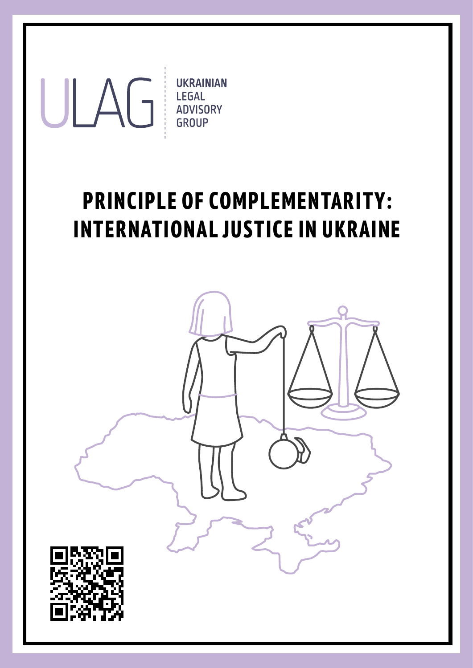

## **PRINCIPLE OF COMPLEMENTARITY: INTERNATIONAL JUSTICE IN UKRAINE**

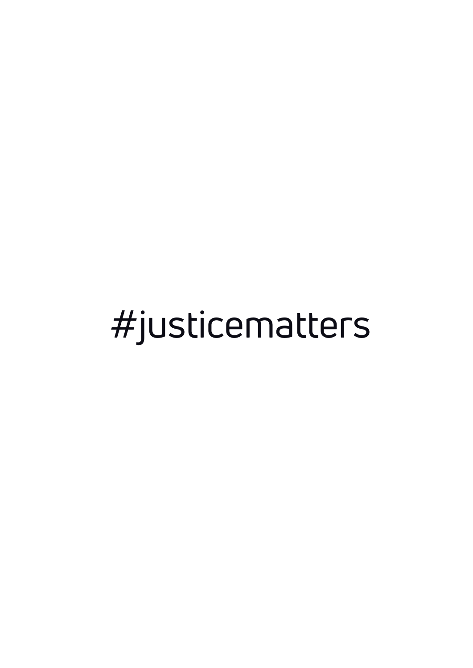# #justicematters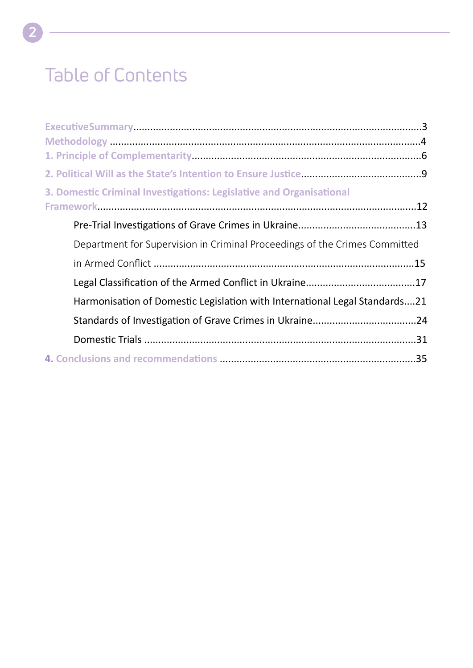### Table of Contents

| 3. Domestic Criminal Investigations: Legislative and Organisational        |  |
|----------------------------------------------------------------------------|--|
|                                                                            |  |
|                                                                            |  |
| Department for Supervision in Criminal Proceedings of the Crimes Committed |  |
|                                                                            |  |
|                                                                            |  |
| Harmonisation of Domestic Legislation with International Legal Standards21 |  |
|                                                                            |  |
|                                                                            |  |
|                                                                            |  |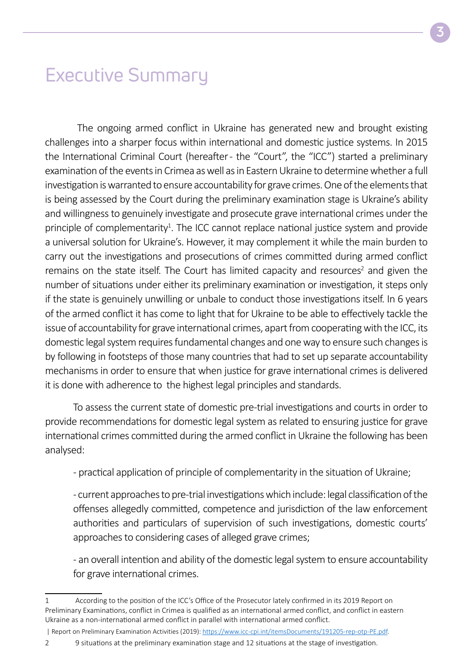### Executive Summary

 The ongoing armed conflict in Ukraine has generated new and brought existing challenges into a sharper focus within international and domestic justice systems. In 2015 the International Criminal Court (hereafter - the "Court", the "ICC") started a preliminary examination of the events in Crimea as well as in Eastern Ukraine to determine whether a full investigation is warranted to ensure accountability for grave crimes. One of the elements that is being assessed by the Court during the preliminary examination stage is Ukraine's ability and willingness to genuinely investigate and prosecute grave international crimes under the principle of complementarity<sup>1</sup>. The ICC cannot replace national justice system and provide a universal solution for Ukraine's. However, it may complement it while the main burden to carry out the investigations and prosecutions of crimes committed during armed conflict remains on the state itself. The Court has limited capacity and resources<sup>2</sup> and given the number of situations under either its preliminary examination or investigation, it steps only if the state is genuinely unwilling or unbale to conduct those investigations itself. In 6 years of the armed conflict it has come to light that for Ukraine to be able to effectively tackle the issue of accountability for grave international crimes, apart from cooperating with the ICC, its domestic legal system requires fundamental changes and one way to ensure such changes is by following in footsteps of those many countries that had to set up separate accountability mechanisms in order to ensure that when justice for grave international crimes is delivered it is done with adherence to the highest legal principles and standards.

To assess the current state of domestic pre-trial investigations and courts in order to provide recommendations for domestic legal system as related to ensuring justice for grave international crimes committed during the armed conflict in Ukraine the following has been analysed:

- practical application of principle of complementarity in the situation of Ukraine;

- current approaches to pre-trial investigations which include: legal classification of the offenses allegedly committed, competence and jurisdiction of the law enforcement authorities and particulars of supervision of such investigations, domestic courts' approaches to considering cases of alleged grave crimes;

- an overall intention and ability of the domestic legal system to ensure accountability for grave international crimes.

2 9 situations at the preliminary examination stage and 12 situations at the stage of investigation.

<sup>1</sup> According to the position of the ICC's Office of the Prosecutor lately confirmed in its 2019 Report on Preliminary Examinations, conflict in Crimea is qualified as an international armed conflict, and conflict in eastern Ukraine as a non-international armed conflict in parallel with international armed conflict.

 <sup>|</sup> Report on Preliminary Examination Activities (2019): [https://www.icc-cpi.int/itemsDocuments/191205-rep-otp-PE.pdf.](https://www.icc-cpi.int/itemsDocuments/191205-rep-otp-PE.pdf)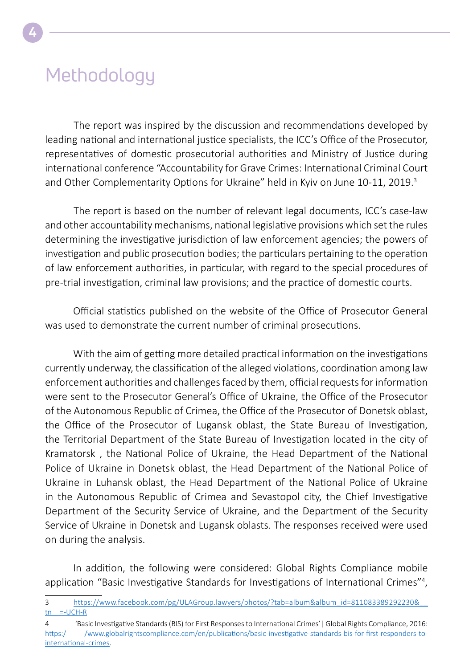### Methodology

The report was inspired by the discussion and recommendations developed by leading national and international justice specialists, the ICC's Office of the Prosecutor, representatives of domestic prosecutorial authorities and Ministry of Justice during international conference "Accountability for Grave Crimes: International Criminal Court and Other Complementarity Options for Ukraine" held in Kyiv on June 10-11, 2019.<sup>3</sup>

The report is based on the number of relevant legal documents, ICC's case-law and other accountability mechanisms, national legislative provisions which set the rules determining the investigative jurisdiction of law enforcement agencies; the powers of investigation and public prosecution bodies; the particulars pertaining to the operation of law enforcement authorities, in particular, with regard to the special procedures of pre-trial investigation, criminal law provisions; and the practice of domestic courts.

Official statistics published on the website of the Office of Prosecutor General was used to demonstrate the current number of criminal prosecutions.

With the aim of getting more detailed practical information on the investigations currently underway, the classification of the alleged violations, coordination among law enforcement authorities and challenges faced by them, official requests for information were sent to the Prosecutor General's Office of Ukraine, the Office of the Prosecutor of the Autonomous Republic of Crimea, the Office of the Prosecutor of Donetsk oblast, the Office of the Prosecutor of Lugansk oblast, the State Bureau of Investigation, the Territorial Department of the State Bureau of Investigation located in the city of Kramatorsk , the National Police of Ukraine, the Head Department of the National Police of Ukraine in Donetsk oblast, the Head Department of the National Police of Ukraine in Luhansk oblast, the Head Department of the National Police of Ukraine in the Autonomous Republic of Crimea and Sevastopol city, the Chief Investigative Department of the Security Service of Ukraine, and the Department of the Security Service of Ukraine in Donetsk and Lugansk oblasts. The responses received were used on during the analysis.

In addition, the following were considered: Global Rights Compliance mobile application "Basic Investigative Standards for Investigations of International Crimes"<sup>4</sup>,

<sup>3</sup> [https://www.facebook.com/pg/ULAGroup.lawyers/photos/?tab=album&album\\_id=811083389292230&\\_\\_](https://www.facebook.com/pg/ULAGroup.lawyers/photos/?tab=album&album_id=811083389292230&__tn__=-UCH-R) tn  $=-UCH-R$ 

<sup>4 &#</sup>x27;Basic Investigative Standards (BIS) for First Responses to International Crimes'| Global Rights Compliance, 2016: [https:/ /www.globalrightscompliance.com/en/publications/basic-investigative-standards-bis-for-first-responders-to](https://www.globalrightscompliance.com/en/publications/basic-investigative-standards-bis-for-first-responders-to-international-crimes)[international-crimes.](https://www.globalrightscompliance.com/en/publications/basic-investigative-standards-bis-for-first-responders-to-international-crimes)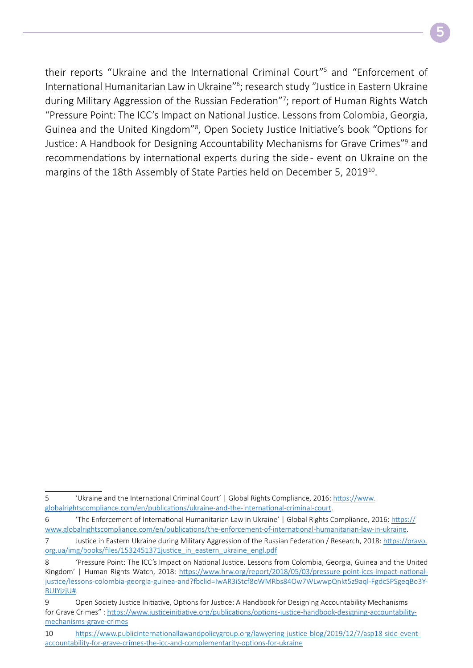their reports "Ukraine and the International Criminal Court"5 and "Enforcement of International Humanitarian Law in Ukraine"6 ; research study "Justice in Eastern Ukraine during Military Aggression of the Russian Federation"<sup>7</sup>; report of Human Rights Watch "Pressure Point: The ICC's Impact on National Justice. Lessons from Colombia, Georgia, Guinea and the United Kingdom"8 , Open Society Justice Initiative's book "Options for Justice: A Handbook for Designing Accountability Mechanisms for Grave Crimes"<sup>9</sup> and recommendations by international experts during the side - event on Ukraine on the margins of the 18th Assembly of State Parties held on December 5, 2019<sup>10</sup>.

<sup>5 &#</sup>x27;Ukraine and the International Criminal Court' | Global Rights Compliance, 2016: [https://www.](https://www.globalrightscompliance.com/en/publications/ukraine-and-the-international-criminal-court) [globalrightscompliance.com/en/publications/ukraine-and-the-international-criminal-court](https://www.globalrightscompliance.com/en/publications/ukraine-and-the-international-criminal-court).

<sup>6 &#</sup>x27;The Enforcement of International Humanitarian Law in Ukraine' | Global Rights Compliance, 2016: [https://](https://www.globalrightscompliance.com/en/publications/the-enforcement-of-international-humanitarian-law-in-ukraine) [www.globalrightscompliance.com/en/publications/the-enforcement-of-international-humanitarian-law-in-ukraine.](https://www.globalrightscompliance.com/en/publications/the-enforcement-of-international-humanitarian-law-in-ukraine)

<sup>7</sup> Justice in Eastern Ukraine during Military Aggression of the Russian Federation / Research, 2018: [https://pravo.](https://pravo.org.ua/img/books/files/1532451371justice_in_eastern_ukraine_engl.pdf) org.ua/img/books/files/1532451371 justice\_in\_eastern\_ukraine\_engl.pdf

<sup>8 &#</sup>x27;Pressure Point: The ICC's Impact on National Justice. Lessons from Colombia, Georgia, Guinea and the United Kingdom' | Human Rights Watch, 2018: [https://www.hrw.org/report/2018/05/03/pressure-point-iccs-impact-national](https://www.hrw.org/report/2018/05/03/pressure-point-iccs-impact-national-justice/lessons-colombia-georgia-guinea-and?fbclid=IwAR3iStcf8oWMRbs84Ow7WLwwpQnkt5z9aql-FgdcSPSgeqBo3Y-BUJYjzjU)[justice/lessons-colombia-georgia-guinea-and?fbclid=IwAR3iStcf8oWMRbs84Ow7WLwwpQnkt5z9aql-FgdcSPSgeqBo3Y-](https://www.hrw.org/report/2018/05/03/pressure-point-iccs-impact-national-justice/lessons-colombia-georgia-guinea-and?fbclid=IwAR3iStcf8oWMRbs84Ow7WLwwpQnkt5z9aql-FgdcSPSgeqBo3Y-BUJYjzjU)[BUJYjzjU#.](https://www.hrw.org/report/2018/05/03/pressure-point-iccs-impact-national-justice/lessons-colombia-georgia-guinea-and?fbclid=IwAR3iStcf8oWMRbs84Ow7WLwwpQnkt5z9aql-FgdcSPSgeqBo3Y-BUJYjzjU)

<sup>9</sup> Open Society Justice Initiative, Options for Justice: A Handbook for Designing Accountability Mechanisms for Grave Crimes" : [https://www.justiceinitiative.org/publications/options-justice-handbook-designing-accountability](https://www.justiceinitiative.org/publications/options-justice-handbook-designing-accountability-mechanisms-grave-crimes)[mechanisms-grave-crimes](https://www.justiceinitiative.org/publications/options-justice-handbook-designing-accountability-mechanisms-grave-crimes)

<sup>10</sup> [https://www.publicinternationallawandpolicygroup.org/lawyering-justice-blog/2019/12/7/asp18-side-event](https://www.publicinternationallawandpolicygroup.org/lawyering-justice-blog/2019/12/7/asp18-side-event-accountability-for-grave-crimes-the-icc-and-complementarity-options-for-ukraine)[accountability-for-grave-crimes-the-icc-and-complementarity-options-for-ukraine](https://www.publicinternationallawandpolicygroup.org/lawyering-justice-blog/2019/12/7/asp18-side-event-accountability-for-grave-crimes-the-icc-and-complementarity-options-for-ukraine)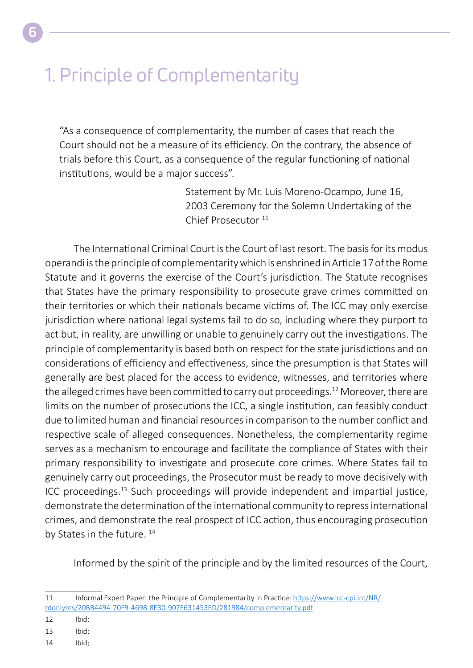### 1. Principle of Complementarity

"As a consequence of complementarity, the number of cases that reach the Court should not be a measure of its efficiency. On the contrary, the absence of trials before this Court, as a consequence of the regular functioning of national institutions, would be a major success".

> Statement by Mr. Luis Moreno-Ocampo, June 16, 2003 Ceremony for the Solemn Undertaking of the Chief Prosecutor<sup>11</sup>

The International Criminal Court is the Court of last resort. The basis for its modus operandi is the principle of complementarity which is enshrined in Article 17 of the Rome Statute and it governs the exercise of the Court's jurisdiction. The Statute recognises that States have the primary responsibility to prosecute grave crimes committed on their territories or which their nationals became victims of. The ICC may only exercise jurisdiction where national legal systems fail to do so, including where they purport to act but, in reality, are unwilling or unable to genuinely carry out the investigations. The principle of complementarity is based both on respect for the state jurisdictions and on considerations of efficiency and effectiveness, since the presumption is that States will generally are best placed for the access to evidence, witnesses, and territories where the alleged crimes have been committed to carry out proceedings.<sup>12</sup> Moreover, there are limits on the number of prosecutions the ICC, a single institution, can feasibly conduct due to limited human and financial resources in comparison to the number conflict and respective scale of alleged consequences. Nonetheless, the complementarity regime serves as a mechanism to encourage and facilitate the compliance of States with their primary responsibility to investigate and prosecute core crimes. Where States fail to genuinely carry out proceedings, the Prosecutor must be ready to move decisively with ICC proceedings.13 Such proceedings will provide independent and impartial justice, demonstrate the determination of the international community to repress international crimes, and demonstrate the real prospect of ICC action, thus encouraging prosecution by States in the future.<sup>14</sup>

Informed by the spirit of the principle and by the limited resources of the Court,

14 Ibid;

**6**

<sup>11</sup> Informal Expert Paper: the Principle of Complementarity in Practice: [https://www.icc-cpi.int/NR/](https://www.icc-cpi.int/NR/rdonlyres/20BB4494-70F9-4698-8E30-907F631453ED/281984/complementarity.pdf) [rdonlyres/20BB4494-70F9-4698-8E30-907F631453ED/281984/complementarity.pdf](https://www.icc-cpi.int/NR/rdonlyres/20BB4494-70F9-4698-8E30-907F631453ED/281984/complementarity.pdf)

<sup>12</sup> Ibid;

<sup>13</sup> Ibid;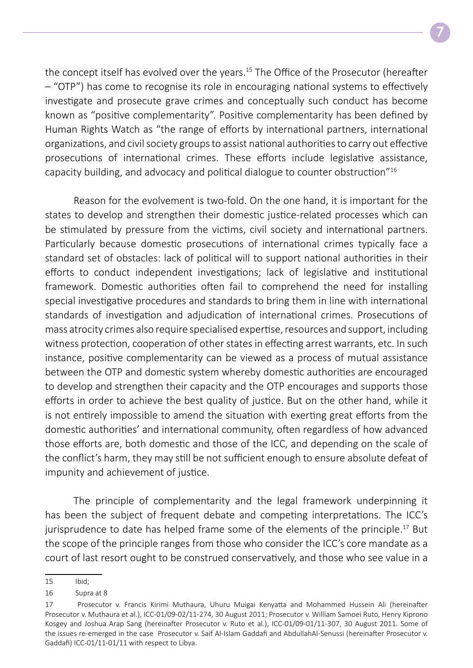the concept itself has evolved over the years.<sup>15</sup> The Office of the Prosecutor (hereafter – "OTP") has come to recognise its role in encouraging national systems to effectively investigate and prosecute grave crimes and conceptually such conduct has become known as "positive complementarity". Positive complementarity has been defined by Human Rights Watch as "the range of efforts by international partners, international organizations, and civil society groups to assist national authorities to carry out effective prosecutions of international crimes. These efforts include legislative assistance, capacity building, and advocacy and political dialogue to counter obstruction"16

Reason for the evolvement is two-fold. On the one hand, it is important for the states to develop and strengthen their domestic justice-related processes which can be stimulated by pressure from the victims, civil society and international partners. Particularly because domestic prosecutions of international crimes typically face a standard set of obstacles: lack of political will to support national authorities in their efforts to conduct independent investigations; lack of legislative and institutional framework. Domestic authorities often fail to comprehend the need for installing special investigative procedures and standards to bring them in line with international standards of investigation and adjudication of international crimes. Prosecutions of mass atrocity crimes also require specialised expertise, resources and support, including witness protection, cooperation of other states in effecting arrest warrants, etc. In such instance, positive complementarity can be viewed as a process of mutual assistance between the OTP and domestic system whereby domestic authorities are encouraged to develop and strengthen their capacity and the OTP encourages and supports those efforts in order to achieve the best quality of justice. But on the other hand, while it is not entirely impossible to amend the situation with exerting great efforts from the domestic authorities' and international community, often regardless of how advanced those efforts are, both domestic and those of the ICC, and depending on the scale of the conflict's harm, they may still be not sufficient enough to ensure absolute defeat of impunity and achievement of justice.

The principle of complementarity and the legal framework underpinning it has been the subject of frequent debate and competing interpretations. The ICC's jurisprudence to date has helped frame some of the elements of the principle.<sup>17</sup> But the scope of the principle ranges from those who consider the ICC's core mandate as a court of last resort ought to be construed conservatively, and those who see value in a

<sup>15</sup> Ibid;

<sup>16</sup> Supra at 8

<sup>17</sup> Prosecutor v. Francis Kirimi Muthaura, Uhuru Muigai Kenyatta and Mohammed Hussein Ali (hereinafter Prosecutor v. Muthaura et al.), ICC-01/09-02/11-274, 30 August 2011; Prosecutor v. William Samoei Ruto, Henry Kiprono Kosgey and Joshua Arap Sang (hereinafter Prosecutor v. Ruto et al.), ICC-01/09-01/11-307, 30 August 2011. Some of the issues re-emerged in the case Prosecutor v. Saif Al-Islam Gaddafi and AbdullahAl-Senussi (hereinafter Prosecutor v. Gaddafi) ICC-01/11-01/11 with respect to Libya.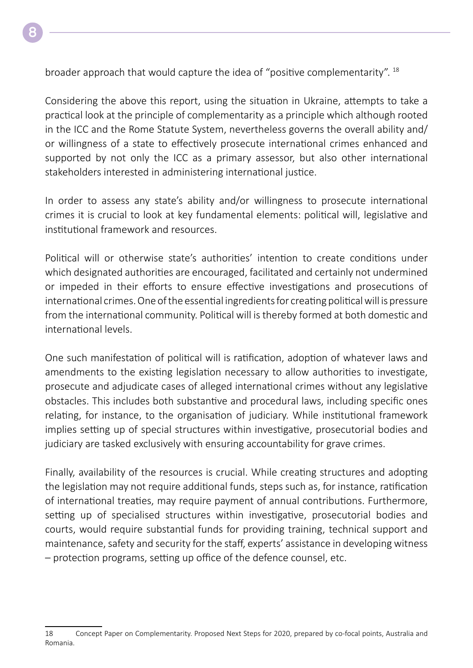broader approach that would capture the idea of "positive complementarity". 18

Considering the above this report, using the situation in Ukraine, attempts to take a practical look at the principle of complementarity as a principle which although rooted in the ICC and the Rome Statute System, nevertheless governs the overall ability and/ or willingness of a state to effectively prosecute international crimes enhanced and supported by not only the ICC as a primary assessor, but also other international stakeholders interested in administering international justice.

In order to assess any state's ability and/or willingness to prosecute international crimes it is crucial to look at key fundamental elements: political will, legislative and institutional framework and resources.

Political will or otherwise state's authorities' intention to create conditions under which designated authorities are encouraged, facilitated and certainly not undermined or impeded in their efforts to ensure effective investigations and prosecutions of international crimes. One of the essential ingredients for creating political will is pressure from the international community. Political will is thereby formed at both domestic and international levels.

One such manifestation of political will is ratification, adoption of whatever laws and amendments to the existing legislation necessary to allow authorities to investigate, prosecute and adjudicate cases of alleged international crimes without any legislative obstacles. This includes both substantive and procedural laws, including specific ones relating, for instance, to the organisation of judiciary. While institutional framework implies setting up of special structures within investigative, prosecutorial bodies and judiciary are tasked exclusively with ensuring accountability for grave crimes.

Finally, availability of the resources is crucial. While creating structures and adopting the legislation may not require additional funds, steps such as, for instance, ratification of international treaties, may require payment of annual contributions. Furthermore, setting up of specialised structures within investigative, prosecutorial bodies and courts, would require substantial funds for providing training, technical support and maintenance, safety and security for the staff, experts' assistance in developing witness – protection programs, setting up office of the defence counsel, etc.

<sup>18</sup> Concept Paper on Complementarity. Proposed Next Steps for 2020, prepared by co-focal points, Australia and Romania.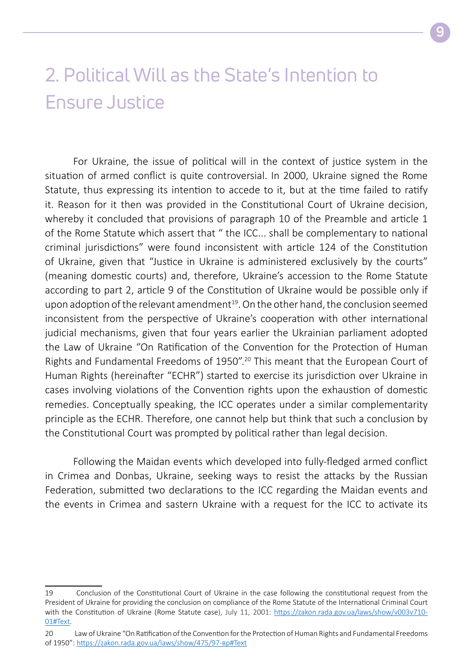### 2. Political Will as the State's Intention to Ensure Justice

For Ukraine, the issue of political will in the context of justice system in the situation of armed conflict is quite controversial. In 2000, Ukraine signed the Rome Statute, thus expressing its intention to accede to it, but at the time failed to ratify it. Reason for it then was provided in the Constitutional Court of Ukraine decision, whereby it concluded that provisions of paragraph 10 of the Preamble and article 1 of the Rome Statute which assert that " the ICC... shall be complementary to national criminal jurisdictions" were found inconsistent with article 124 of the Constitution of Ukraine, given that "Justice in Ukraine is administered exclusively by the courts" (meaning domestic courts) and, therefore, Ukraine's accession to the Rome Statute according to part 2, article 9 of the Constitution of Ukraine would be possible only if upon adoption of the relevant amendment $19$ . On the other hand, the conclusion seemed inconsistent from the perspective of Ukraine's cooperation with other international judicial mechanisms, given that four years earlier the Ukrainian parliament adopted the Law of Ukraine "On Ratification of the Convention for the Protection of Human Rights and Fundamental Freedoms of 1950".20 This meant that the European Court of Human Rights (hereinafter "ECHR") started to exercise its jurisdiction over Ukraine in cases involving violations of the Convention rights upon the exhaustion of domestic remedies. Conceptually speaking, the ICC operates under a similar complementarity principle as the ECHR. Therefore, one cannot help but think that such a conclusion by the Constitutional Court was prompted by political rather than legal decision.

Following the Maidan events which developed into fully-fledged armed conflict in Crimea and Donbas, Ukraine, seeking ways to resist the attacks by the Russian Federation, submitted two declarations to the ICC regarding the Maidan events and the events in Crimea and sastern Ukraine with a request for the ICC to activate its

<sup>19</sup> Conclusion of the Constitutional Court of Ukraine in the case following the constitutional request from the President of Ukraine for providing the conclusion on compliance of the Rome Statute of the International Criminal Court with the Constitution of Ukraine (Rome Statute case), July 11, 2001: [https://zakon.rada.gov.ua/laws/show/v003v710-](https://zakon.rada.gov.ua/laws/show/v003v710-01#Text) [01#Text](https://zakon.rada.gov.ua/laws/show/v003v710-01#Text).

<sup>20</sup> Law of Ukraine "On Ratification of the Convention for the Protection of Human Rights and Fundamental Freedoms of 1950":<https://zakon.rada.gov.ua/laws/show/475/97-вр#Text>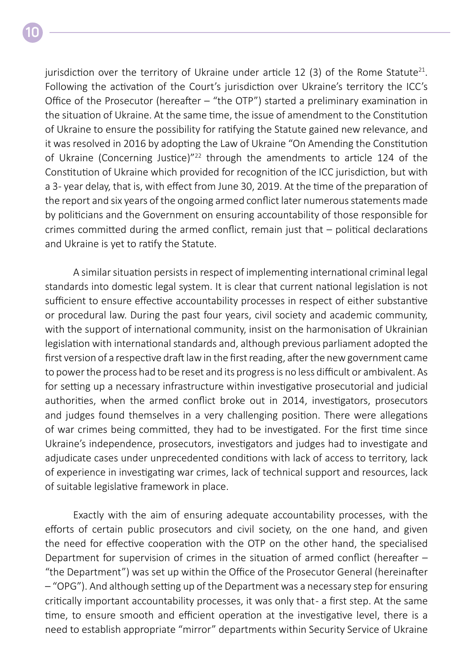jurisdiction over the territory of Ukraine under article 12 (3) of the Rome Statute<sup>21</sup>. Following the activation of the Court's jurisdiction over Ukraine's territory the ICC's Office of the Prosecutor (hereafter – "the OTP") started a preliminary examination in the situation of Ukraine. At the same time, the issue of amendment to the Constitution of Ukraine to ensure the possibility for ratifying the Statute gained new relevance, and it was resolved in 2016 by adopting the Law of Ukraine "On Amending the Constitution of Ukraine (Concerning Justice)"<sup>22</sup> through the amendments to article 124 of the Constitution of Ukraine which provided for recognition of the ICC jurisdiction, but with a 3- year delay, that is, with effect from June 30, 2019. At the time of the preparation of the report and six years of the ongoing armed conflict later numerous statements made by politicians and the Government on ensuring accountability of those responsible for crimes committed during the armed conflict, remain just that – political declarations and Ukraine is yet to ratify the Statute.

A similar situation persists in respect of implementing international criminal legal standards into domestic legal system. It is clear that current national legislation is not sufficient to ensure effective accountability processes in respect of either substantive or procedural law. During the past four years, civil society and academic community, with the support of international community, insist on the harmonisation of Ukrainian legislation with international standards and, although previous parliament adopted the first version of a respective draft law in the first reading, after the new government came to power the process had to be reset and its progress is no less difficult or ambivalent. As for setting up a necessary infrastructure within investigative prosecutorial and judicial authorities, when the armed conflict broke out in 2014, investigators, prosecutors and judges found themselves in a very challenging position. There were allegations of war crimes being committed, they had to be investigated. For the first time since Ukraine's independence, prosecutors, investigators and judges had to investigate and adjudicate cases under unprecedented conditions with lack of access to territory, lack of experience in investigating war crimes, lack of technical support and resources, lack of suitable legislative framework in place.

Exactly with the aim of ensuring adequate accountability processes, with the efforts of certain public prosecutors and civil society, on the one hand, and given the need for effective cooperation with the OTP on the other hand, the specialised Department for supervision of crimes in the situation of armed conflict (hereafter – "the Department") was set up within the Office of the Prosecutor General (hereinafter – "OPG"). And although setting up of the Department was a necessary step for ensuring critically important accountability processes, it was only that - a first step. At the same time, to ensure smooth and efficient operation at the investigative level, there is a need to establish appropriate "mirror" departments within Security Service of Ukraine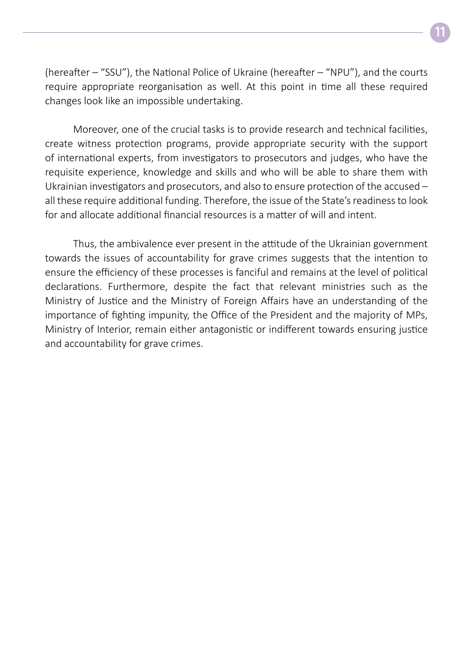**11**

(hereafter – "SSU"), the National Police of Ukraine (hereafter – "NPU"), and the courts require appropriate reorganisation as well. At this point in time all these required changes look like an impossible undertaking.

Moreover, one of the crucial tasks is to provide research and technical facilities, create witness protection programs, provide appropriate security with the support of international experts, from investigators to prosecutors and judges, who have the requisite experience, knowledge and skills and who will be able to share them with Ukrainian investigators and prosecutors, and also to ensure protection of the accused – all these require additional funding. Therefore, the issue of the State's readiness to look for and allocate additional financial resources is a matter of will and intent.

Thus, the ambivalence ever present in the attitude of the Ukrainian government towards the issues of accountability for grave crimes suggests that the intention to ensure the efficiency of these processes is fanciful and remains at the level of political declarations. Furthermore, despite the fact that relevant ministries such as the Ministry of Justice and the Ministry of Foreign Affairs have an understanding of the importance of fighting impunity, the Office of the President and the majority of MPs, Ministry of Interior, remain either antagonistic or indifferent towards ensuring justice and accountability for grave crimes.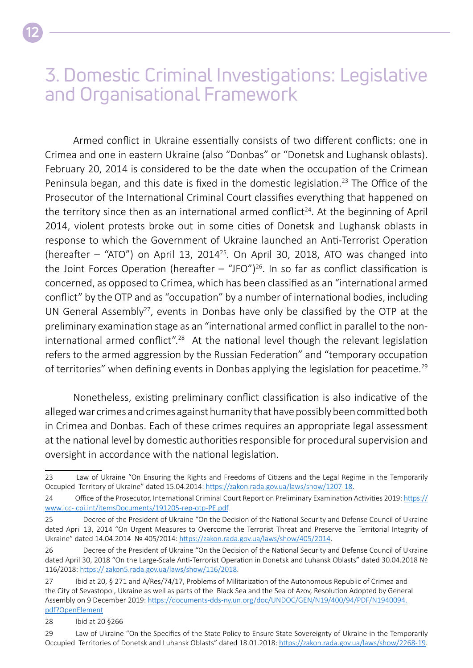### 3. Domestic Criminal Investigations: Legislative and Organisational Framework

Armed conflict in Ukraine essentially consists of two different conflicts: one in Crimea and one in eastern Ukraine (also "Donbas" or "Donetsk and Lughansk oblasts). February 20, 2014 is considered to be the date when the occupation of the Crimean Peninsula began, and this date is fixed in the domestic legislation.<sup>23</sup> The Office of the Prosecutor of the International Criminal Court classifies everything that happened on the territory since then as an international armed conflict<sup>24</sup>. At the beginning of April 2014, violent protests broke out in some cities of Donetsk and Lughansk oblasts in response to which the Government of Ukraine launched an Anti-Terrorist Operation (hereafter  $-$  "ATO") on April 13, 2014<sup>25</sup>. On April 30, 2018, ATO was changed into the Joint Forces Operation (hereafter  $-$  "JFO")<sup>26</sup>. In so far as conflict classification is concerned, as opposed to Crimea, which has been classified as an "international armed conflict" by the OTP and as "occupation" by a number of international bodies, including UN General Assembly<sup>27</sup>, events in Donbas have only be classified by the OTP at the preliminary examination stage as an "international armed conflict in parallel to the noninternational armed conflict".<sup>28</sup> At the national level though the relevant legislation refers to the armed aggression by the Russian Federation" and "temporary occupation of territories" when defining events in Donbas applying the legislation for peacetime.<sup>29</sup>

Nonetheless, existing preliminary conflict classification is also indicative of the alleged war crimes and crimes against humanity that have possibly been committed both in Crimea and Donbas. Each of these crimes requires an appropriate legal assessment at the national level by domestic authorities responsible for procedural supervision and oversight in accordance with the national legislation.

<sup>23</sup> Law of Ukraine "On Ensuring the Rights and Freedoms of Citizens and the Legal Regime in the Temporarily Occupied Territory of Ukraine" dated 15.04.2014: [https://zakon.rada.gov.ua/laws/show/1207-18.](https://zakon.rada.gov.ua/laws/show/1207-18)

<sup>24</sup> Office of the Prosecutor, International Criminal Court Report on Preliminary Examination Activities 2019: [https://](https://www.icc-cpi.int/itemsDocuments/191205-rep-otp-PE.pdf) [www.icc- cpi.int/itemsDocuments/191205-rep-otp-PE.pdf](https://www.icc-cpi.int/itemsDocuments/191205-rep-otp-PE.pdf).

<sup>25</sup> Decree of the President of Ukraine "On the Decision of the National Security and Defense Council of Ukraine dated April 13, 2014 "On Urgent Measures to Overcome the Terrorist Threat and Preserve the Territorial Integrity of Ukraine" dated 14.04.2014 № 405/2014: <https://zakon.rada.gov.ua/laws/show/405/2014>.

<sup>26</sup> Decree of the President of Ukraine "On the Decision of the National Security and Defense Council of Ukraine dated April 30, 2018 "On the Large-Scale Anti-Terrorist Operation in Donetsk and Luhansk Oblasts" dated 30.04.2018 № 116/2018: [https:// zakon5.rada.gov.ua/laws/show/116/2018](https://zakon5.rada.gov.ua/laws/show/116/2018).

<sup>27</sup> Ibid at 20, § 271 and A/Res/74/17, Problems of Militarization of the Autonomous Republic of Crimea and the City of Sevastopol, Ukraine as well as parts of the Black Sea and the Sea of Azov, Resolution Adopted by General Assembly on 9 December 2019: [https://documents-dds-ny.un.org/doc/UNDOC/GEN/N19/400/94/PDF/N1940094.](https://documents-dds-ny.un.org/doc/UNDOC/GEN/N19/400/94/PDF/N1940094.pdf?OpenElement) [pdf?OpenElement](https://documents-dds-ny.un.org/doc/UNDOC/GEN/N19/400/94/PDF/N1940094.pdf?OpenElement)

<sup>28</sup> Ibid at 20 §266

<sup>29</sup> Law of Ukraine "On the Specifics of the State Policy to Ensure State Sovereignty of Ukraine in the Temporarily Occupied Territories of Donetsk and Luhansk Oblasts" dated 18.01.2018:<https://zakon.rada.gov.ua/laws/show/2268-19>.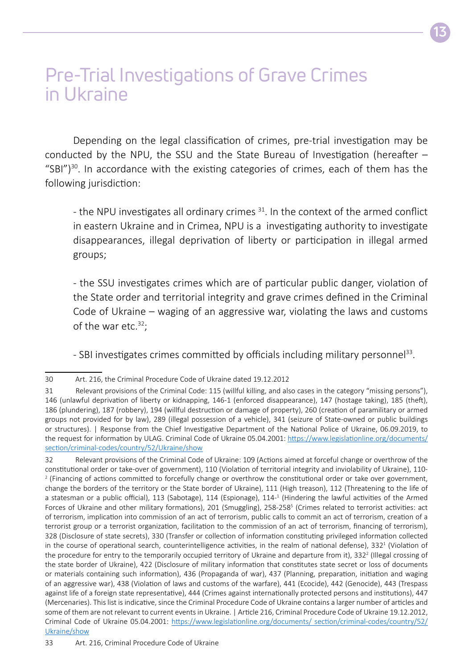### Pre-Trial Investigations of Grave Crimes in Ukraine

Depending on the legal classification of crimes, pre-trial investigation may be conducted by the NPU, the SSU and the State Bureau of Investigation (hereafter – "SBI")<sup>30</sup>. In accordance with the existing categories of crimes, each of them has the following jurisdiction:

- the NPU investigates all ordinary crimes  $31$ . In the context of the armed conflict in eastern Ukraine and in Crimea, NPU is a investigating authority to investigate disappearances, illegal deprivation of liberty or participation in illegal armed groups;

- the SSU investigates crimes which are of particular public danger, violation of the State order and territorial integrity and grave crimes defined in the Criminal Code of Ukraine – waging of an aggressive war, violating the laws and customs of the war etc.<sup>32</sup>;

- SBI investigates crimes committed by officials including military personnel<sup>33</sup>.

<sup>30</sup> Art. 216, the Criminal Procedure Code of Ukraine dated 19.12.2012

<sup>31</sup> Relevant provisions of the Criminal Code: 115 (willful killing, and also cases in the category "missing persons"), 146 (unlawful deprivation of liberty or kidnapping, 146-1 (enforced disappearance), 147 (hostage taking), 185 (theft), 186 (plundering), 187 (robbery), 194 (willful destruction or damage of property), 260 (creation of paramilitary or armed groups not provided for by law), 289 (illegal possession of a vehicle), 341 (seizure of State-owned or public buildings or structures). | Response from the Chief Investigative Department of the National Police of Ukraine, 06.09.2019, to the request for information by ULAG. Criminal Code of Ukraine 05.04.2001: [https://www.legislationline.org/documents/](https://www.legislationline.org/documents/section/criminal-codes/country/52/Ukraine/show) [section/criminal-codes/country/52/Ukraine/show](https://www.legislationline.org/documents/section/criminal-codes/country/52/Ukraine/show)

<sup>32</sup> Relevant provisions of the Criminal Code of Ukraine: 109 (Actions aimed at forceful change or overthrow of the constitutional order or take-over of government), 110 (Violation of territorial integrity and inviolability of Ukraine), 110- <sup>2</sup> (Financing of actions committed to forcefully change or overthrow the constitutional order or take over government, change the borders of the territory or the State border of Ukraine), 111 (High treason), 112 (Threatening to the life of a statesman or a public official), 113 (Sabotage), 114 (Espionage), 114-<sup>1</sup> (Hindering the lawful activities of the Armed Forces of Ukraine and other military formations), 201 (Smuggling), 258-258<sup>5</sup> (Crimes related to terrorist activities: act of terrorism, implication into commission of an act of terrorism, public calls to commit an act of terrorism, creation of a terrorist group or a terrorist organization, facilitation to the commission of an act of terrorism, financing of terrorism), 328 (Disclosure of state secrets), 330 (Transfer or collection of information constituting privileged information collected in the course of operational search, counterintelligence activities, in the realm of national defense), 332<sup>1</sup> (Violation of the procedure for entry to the temporarily occupied territory of Ukraine and departure from it), 332<sup>2</sup> (Illegal crossing of the state border of Ukraine), 422 (Disclosure of military information that constitutes state secret or loss of documents or materials containing such information), 436 (Propaganda of war), 437 (Planning, preparation, initiation and waging of an aggressive war), 438 (Violation of laws and customs of the warfare), 441 (Ecocide), 442 (Genocide), 443 (Trespass against life of a foreign state representative), 444 (Crimes against internationally protected persons and institutions), 447 (Mercenaries). This list is indicative, since the Criminal Procedure Code of Ukraine contains a larger number of articles and some of them are not relevant to current events in Ukraine. | Article 216, Criminal Procedure Code of Ukraine 19.12.2012, Criminal Code of Ukraine 05.04.2001: [https://www.legislationline.org/documents/ section/criminal-codes/country/52/](https://www.legislationline.org/documents/section/criminal-codes/country/52/Ukraine/show) [Ukraine/show](https://www.legislationline.org/documents/section/criminal-codes/country/52/Ukraine/show)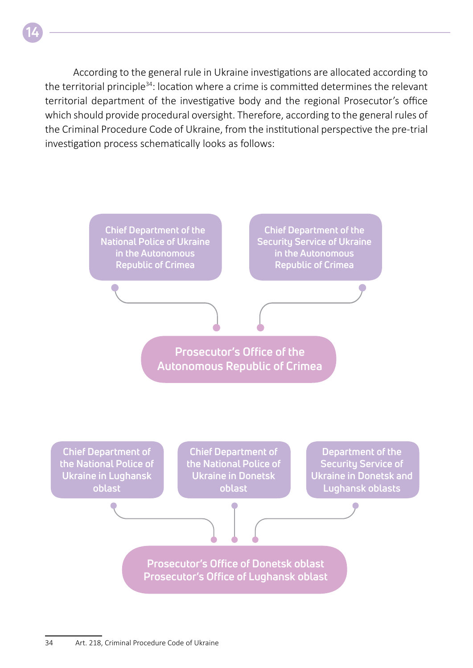According to the general rule in Ukraine investigations are allocated according to the territorial principle34: location where a crime is committed determines the relevant territorial department of the investigative body and the regional Prosecutor's office which should provide procedural oversight. Therefore, according to the general rules of the Criminal Procedure Code of Ukraine, from the institutional perspective the pre-trial investigation process schematically looks as follows:

**14**

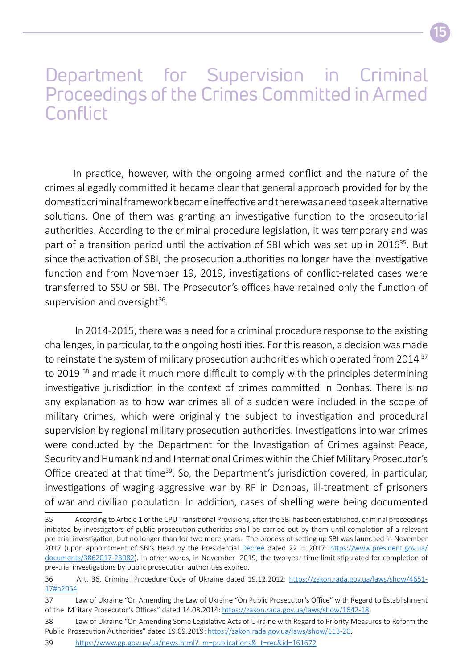### Department for Supervision in Criminal Proceedings of the Crimes Committed in Armed Conflict

In practice, however, with the ongoing armed conflict and the nature of the crimes allegedly committed it became clear that general approach provided for by the domestic criminal framework became ineffective and there was a need to seek alternative solutions. One of them was granting an investigative function to the prosecutorial authorities. According to the criminal procedure legislation, it was temporary and was part of a transition period until the activation of SBI which was set up in 2016<sup>35</sup>. But since the activation of SBI, the prosecution authorities no longer have the investigative function and from November 19, 2019, investigations of conflict-related cases were transferred to SSU or SBI. The Prosecutor's offices have retained only the function of supervision and oversight<sup>36</sup>.

 In 2014-2015, there was a need for a criminal procedure response to the existing challenges, in particular, to the ongoing hostilities. For this reason, a decision was made to reinstate the system of military prosecution authorities which operated from 2014<sup>37</sup> to 2019 38 and made it much more difficult to comply with the principles determining investigative jurisdiction in the context of crimes committed in Donbas. There is no any explanation as to how war crimes all of a sudden were included in the scope of military crimes, which were originally the subject to investigation and procedural supervision by regional military prosecution authorities. Investigations into war crimes were conducted by the Department for the Investigation of Crimes against Peace, Security and Humankind and International Crimes within the Chief Military Prosecutor's Office created at that time<sup>39</sup>. So, the Department's jurisdiction covered, in particular, investigations of waging aggressive war by RF in Donbas, ill-treatment of prisoners of war and civilian population. In addition, cases of shelling were being documented

<sup>35</sup> According to Article 1 of the CPU Transitional Provisions, after the SBI has been established, criminal proceedings initiated by investigators of public prosecution authorities shall be carried out by them until completion of a relevant pre-trial investigation, but no longer than for two more years. The process of setting up SBI was launched in November 2017 (upon appointment of SBI's Head by the Presidential [Decree](file:///D:/%d1%8e%d0%bb%d1%8f/Work/%d0%86%d0%bd%d1%84%d0%be%d0%b3%d1%80%d0%b0%d1%84%d1%96%d0%ba%d0%b0-%d0%90%d0%bb%d1%96%d0%bd%d0%b0/%d0%91%d1%80%d0%be%d1%88%d1%83%d1%80%d0%b0%20%d0%bb%d0%b8%d0%bf%d0%b5%d0%bd%d1%8c/Decree) dated 22.11.2017: [https://www.president.gov.ua/](https://www.president.gov.ua/documents/3862017-23082) [documents/3862017-23082](https://www.president.gov.ua/documents/3862017-23082)). In other words, in November 2019, the two-year time limit stipulated for completion of pre-trial investigations by public prosecution authorities expired.

<sup>36</sup> Art. 36, Criminal Procedure Code of Ukraine dated 19.12.2012: [https://zakon.rada.gov.ua/laws/show/4651-](https://zakon.rada.gov.ua/laws/show/4651-17#n2054) [17#n2054](https://zakon.rada.gov.ua/laws/show/4651-17#n2054).

<sup>37</sup> Law of Ukraine "On Amending the Law of Ukraine "On Public Prosecutor's Office" with Regard to Establishment of the Military Prosecutor's Offices" dated 14.08.2014: https[://zakon.rada.gov.ua/laws/show/1642-18.](https://zakon.rada.gov.ua/laws/show/1642-18)

<sup>38</sup> Law of Ukraine "On Amending Some Legislative Acts of Ukraine with Regard to Priority Measures to Reform the Public Prosecution Authorities" dated 19.09.2019: https[://zakon.rada.gov.ua/laws/show/113-20](https://zakon.rada.gov.ua/laws/show/113-20).

<sup>39</sup> [https://www.gp.gov.ua/ua/news.html?\\_m=publications&\\_t=rec&id=161672](https://www.gp.gov.ua/ua/news.html?_m=publications&_t=rec&id=161672)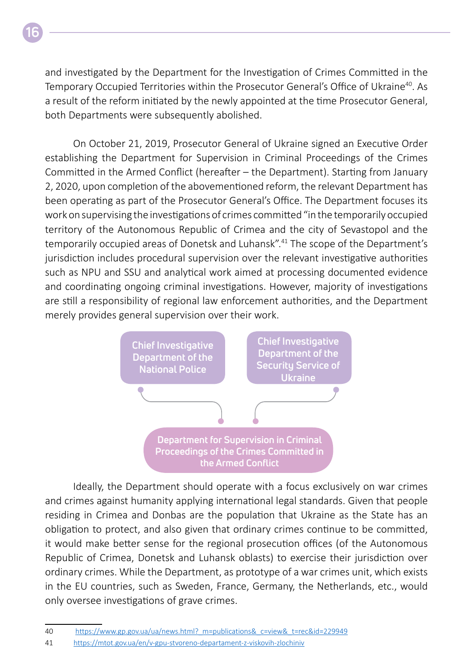and investigated by the Department for the Investigation of Crimes Committed in the Temporary Occupied Territories within the Prosecutor General's Office of Ukraine<sup>40</sup>. As a result of the reform initiated by the newly appointed at the time Prosecutor General, both Departments were subsequently abolished.

On October 21, 2019, Prosecutor General of Ukraine signed an Executive Order establishing the Department for Supervision in Criminal Proceedings of the Crimes Committed in the Armed Conflict (hereafter – the Department). Starting from January 2, 2020, upon completion of the abovementioned reform, the relevant Department has been operating as part of the Prosecutor General's Office. The Department focuses its work on supervising the investigations of crimes committed "in the temporarily occupied territory of the Autonomous Republic of Crimea and the city of Sevastopol and the temporarily occupied areas of Donetsk and Luhansk".41 The scope of the Department's jurisdiction includes procedural supervision over the relevant investigative authorities such as NPU and SSU and analytical work aimed at processing documented evidence and coordinating ongoing criminal investigations. However, majority of investigations are still a responsibility of regional law enforcement authorities, and the Department merely provides general supervision over their work.



Ideally, the Department should operate with a focus exclusively on war crimes and crimes against humanity applying international legal standards. Given that people residing in Crimea and Donbas are the population that Ukraine as the State has an obligation to protect, and also given that ordinary crimes continue to be committed, it would make better sense for the regional prosecution offices (of the Autonomous Republic of Crimea, Donetsk and Luhansk oblasts) to exercise their jurisdiction over ordinary crimes. While the Department, as prototype of a war crimes unit, which exists in the EU countries, such as Sweden, France, Germany, the Netherlands, etc., would only oversee investigations of grave crimes.

<sup>40</sup> [https://www.gp.gov.ua/ua/news.html?\\_m=publications&\\_c=view&\\_t=rec&id=229949](https://www.gp.gov.ua/ua/news.html?_m=publications&_c=view&_t=rec&id=229949)

<sup>41</sup> <https://mtot.gov.ua/en/v-gpu-stvoreno-departament-z-viskovih-zlochiniv>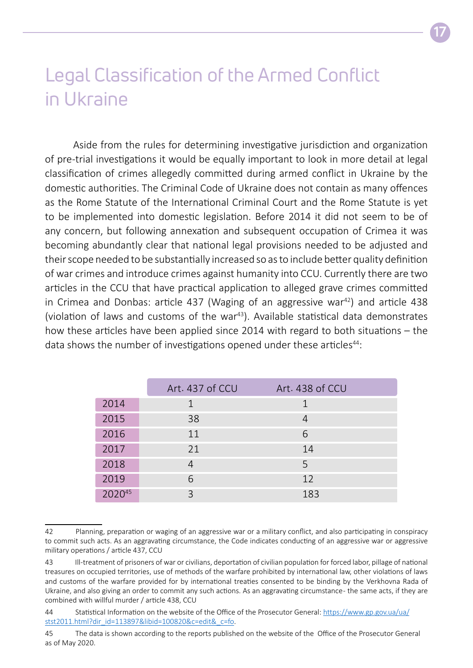### Legal Classification of the Armed Conflict in Ukraine

Aside from the rules for determining investigative jurisdiction and organization of pre-trial investigations it would be equally important to look in more detail at legal classification of crimes allegedly committed during armed conflict in Ukraine by the domestic authorities. The Criminal Code of Ukraine does not contain as many offences as the Rome Statute of the International Criminal Court and the Rome Statute is yet to be implemented into domestic legislation. Before 2014 it did not seem to be of any concern, but following annexation and subsequent occupation of Crimea it was becoming abundantly clear that national legal provisions needed to be adjusted and their scope needed to be substantially increased so as to include better quality definition of war crimes and introduce crimes against humanity into CCU. Currently there are two articles in the CCU that have practical application to alleged grave crimes committed in Crimea and Donbas: article 437 (Waging of an aggressive war<sup>42</sup>) and article 438 (violation of laws and customs of the war $43$ ). Available statistical data demonstrates how these articles have been applied since 2014 with regard to both situations – the data shows the number of investigations opened under these articles<sup>44</sup>:

|      | Art. 437 of CCU | Art. 438 of CCU |
|------|-----------------|-----------------|
| 2014 |                 |                 |
| 2015 | 38              |                 |
| 2016 | 11              | 6               |
| 2017 | 21              | 14              |
| 2018 |                 | 5               |
| 2019 | 6               | 12              |
|      | ς               | 183             |

<sup>42</sup> Planning, preparation or waging of an aggressive war or a military conflict, and also participating in conspiracy to commit such acts. As an aggravating circumstance, the Code indicates conducting of an aggressive war or aggressive military operations / article 437, CCU

<sup>43</sup> Ill-treatment of prisoners of war or civilians, deportation of civilian population for forced labor, pillage of national treasures on occupied territories, use of methods of the warfare prohibited by international law, other violations of laws and customs of the warfare provided for by international treaties consented to be binding by the Verkhovna Rada of Ukraine, and also giving an order to commit any such actions. As an aggravating circumstance - the same acts, if they are combined with willful murder / article 438, CCU

<sup>44</sup> Statistical Information on the website of the Office of the Prosecutor General: [https://www.gp.gov.ua/ua/](https://www.gp.gov.ua/ua/stst2011.html?dir_id=113897&libid=100820&c=edit&_c=fo) [stst2011.html?dir\\_id=113897&libid=100820&c=edit&\\_c=fo.](https://www.gp.gov.ua/ua/stst2011.html?dir_id=113897&libid=100820&c=edit&_c=fo)

<sup>45</sup> The data is shown according to the reports published on the website of the Office of the Prosecutor General as of May 2020.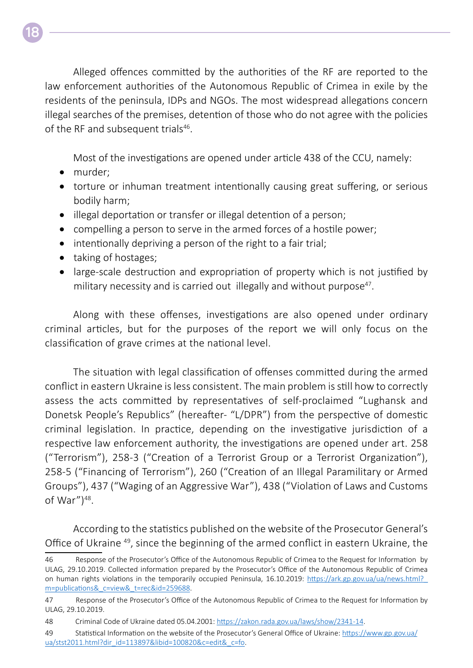Alleged offences committed by the authorities of the RF are reported to the law enforcement authorities of the Autonomous Republic of Crimea in exile by the residents of the peninsula, IDPs and NGOs. The most widespread allegations concern illegal searches of the premises, detention of those who do not agree with the policies of the RF and subsequent trials<sup>46</sup>.

Most of the investigations are opened under article 438 of the CCU, namely:

- murder;
- torture or inhuman treatment intentionally causing great suffering, or serious bodily harm;
- illegal deportation or transfer or illegal detention of a person;
- compelling a person to serve in the armed forces of a hostile power;
- intentionally depriving a person of the right to a fair trial;
- taking of hostages;
- large-scale destruction and expropriation of property which is not justified by military necessity and is carried out illegally and without purpose<sup>47</sup>.

Along with these offenses, investigations are also opened under ordinary criminal articles, but for the purposes of the report we will only focus on the classification of grave crimes at the national level.

The situation with legal classification of offenses committed during the armed conflict in eastern Ukraine is less consistent. The main problem is still how to correctly assess the acts committed by representatives of self-proclaimed "Lughansk and Donetsk People's Republics" (hereafter- "L/DPR") from the perspective of domestic criminal legislation. In practice, depending on the investigative jurisdiction of a respective law enforcement authority, the investigations are opened under art. 258 ("Terrorism"), 258-3 ("Creation of a Terrorist Group or a Terrorist Organization"), 258-5 ("Financing of Terrorism"), 260 ("Creation of an Illegal Paramilitary or Armed Groups"), 437 ("Waging of an Aggressive War"), 438 ("Violation of Laws and Customs of War" $)^{48}$ .

According to the statistics published on the website of the Prosecutor General's Office of Ukraine 49, since the beginning of the armed conflict in eastern Ukraine, the

49 Statistical Information on the website of the Prosecutor's General Office of Ukraine: [https://www.gp.gov.ua/](https://www.gp.gov.ua/ua/stst2011.html?dir_id=113897&libid=100820&c=edit&_c=fo) [ua/stst2011.html?dir\\_id=113897&libid=100820&c=edit&\\_c=fo](https://www.gp.gov.ua/ua/stst2011.html?dir_id=113897&libid=100820&c=edit&_c=fo).

**18**

<sup>46</sup> Response of the Prosecutor's Office of the Autonomous Republic of Crimea to the Request for Information by ULAG, 29.10.2019. Collected information prepared by the Prosecutor's Office of the Autonomous Republic of Crimea on human rights violations in the temporarily occupied Peninsula, 16.10.2019: [https://ark.gp.gov.ua/ua/news.html?\\_](https://ark.gp.gov.ua/ua/news.html?_m=publications&_c=view&_t=rec&id=259688) [m=publications&\\_c=view&\\_t=rec&id=259688](https://ark.gp.gov.ua/ua/news.html?_m=publications&_c=view&_t=rec&id=259688).

<sup>47</sup> Response of the Prosecutor's Office of the Autonomous Republic of Crimea to the Request for Information by ULAG, 29.10.2019.

<sup>48</sup> Criminal Code of Ukraine dated 05.04.2001: [https://zakon.rada.gov.ua/laws/show/2341-14.](https://zakon.rada.gov.ua/laws/show/2341-14)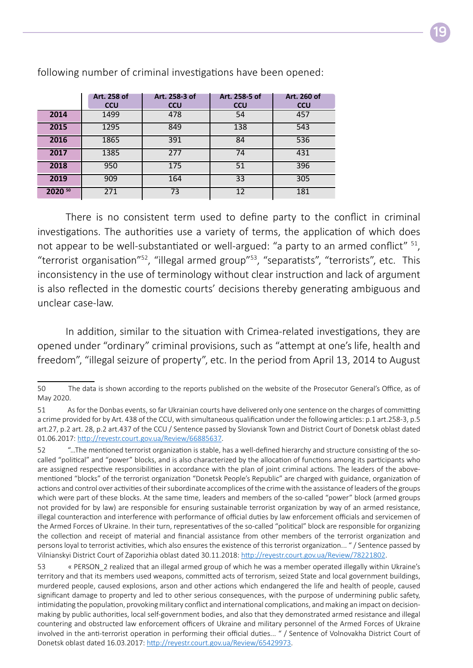|         | Art. 258 of<br><b>CCU</b> | Art. 258-3 of<br><b>CCU</b> | Art. 258-5 of<br><b>CCU</b> | Art. 260 of<br><b>CCU</b> |
|---------|---------------------------|-----------------------------|-----------------------------|---------------------------|
| 2014    | 1499                      | 478                         | 54                          | 457                       |
| 2015    | 1295                      | 849                         | 138                         | 543                       |
| 2016    | 1865                      | 391                         | 84                          | 536                       |
| 2017    | 1385                      | 277                         | 74                          | 431                       |
| 2018    | 950                       | 175                         | 51                          | 396                       |
| 2019    | 909                       | 164                         | 33                          | 305                       |
| 2020 50 | 271                       | 73                          | 12                          | 181                       |

following number of criminal investigations have been opened:

There is no consistent term used to define party to the conflict in criminal investigations. The authorities use a variety of terms, the application of which does not appear to be well-substantiated or well-argued: "a party to an armed conflict" <sup>51</sup>, "terrorist organisation"<sup>52</sup>, "illegal armed group"<sup>53</sup>, "separatists", "terrorists", etc. This inconsistency in the use of terminology without clear instruction and lack of argument is also reflected in the domestic courts' decisions thereby generating ambiguous and unclear case-law.

In addition, similar to the situation with Crimea-related investigations, they are opened under "ordinary" criminal provisions, such as "attempt at one's life, health and freedom", "illegal seizure of property", etc. In the period from April 13, 2014 to August

<sup>50</sup> The data is shown according to the reports published on the website of the Prosecutor General's Office, as of May 2020.

<sup>51</sup> As for the Donbas events, so far Ukrainian courts have delivered only one sentence on the charges of committing a crime provided for by Art. 438 of the CCU, with simultaneous qualification under the following articles: p.1 art.258-3, p.5 art.27, p.2 art. 28, p.2 art.437 of the CCU / Sentence passed by Sloviansk Town and District Court of Donetsk oblast dated 01.06.2017: <http://reyestr.court.gov.ua/Review/66885637>.

<sup>52 &</sup>quot;…The mentioned terrorist organization is stable, has a well-defined hierarchy and structure consisting of the socalled "political" and "power" blocks, and is also characterized by the allocation of functions among its participants who are assigned respective responsibilities in accordance with the plan of joint criminal actions. The leaders of the abovementioned "blocks" of the terrorist organization "Donetsk People's Republic" are charged with guidance, organization of actions and control over activities of their subordinate accomplices of the crime with the assistance of leaders of the groups which were part of these blocks. At the same time, leaders and members of the so-called "power" block (armed groups not provided for by law) are responsible for ensuring sustainable terrorist organization by way of an armed resistance, illegal counteraction and interference with performance of official duties by law enforcement officials and servicemen of the Armed Forces of Ukraine. In their turn, representatives of the so-called "political" block are responsible for organizing the collection and receipt of material and financial assistance from other members of the terrorist organization and persons loyal to terrorist activities, which also ensures the existence of this terrorist organization... " / Sentence passed by Vilnianskyi District Court of Zaporizhia oblast dated 30.11.2018: <http://reyestr.court.gov.ua/Review/78221802>.

<sup>53 «</sup> PERSON\_2 realized that an illegal armed group of which he was a member operated illegally within Ukraine's territory and that its members used weapons, committed acts of terrorism, seized State and local government buildings, murdered people, caused explosions, arson and other actions which endangered the life and health of people, caused significant damage to property and led to other serious consequences, with the purpose of undermining public safety, intimidating the population, provoking military conflict and international complications, and making an impact on decisionmaking by public authorities, local self-government bodies, and also that they demonstrated armed resistance and illegal countering and obstructed law enforcement officers of Ukraine and military personnel of the Armed Forces of Ukraine involved in the anti-terrorist operation in performing their official duties... " / Sentence of Volnovakha District Court of Donetsk oblast dated 16.03.2017: <http://reyestr.court.gov.ua/Review/65429973>.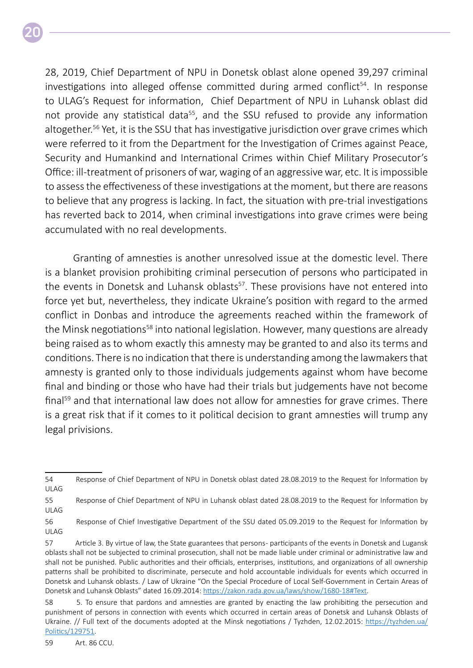28, 2019, Chief Department of NPU in Donetsk oblast alone opened 39,297 criminal investigations into alleged offense committed during armed conflict<sup>54</sup>. In response to ULAG's Request for information, Chief Department of NPU in Luhansk oblast did not provide any statistical data<sup>55</sup>, and the SSU refused to provide any information altogether.<sup>56</sup> Yet, it is the SSU that has investigative jurisdiction over grave crimes which were referred to it from the Department for the Investigation of Crimes against Peace, Security and Humankind and International Crimes within Chief Military Prosecutor's Office: ill-treatment of prisoners of war, waging of an aggressive war, etc. It is impossible to assess the effectiveness of these investigations at the moment, but there are reasons to believe that any progress is lacking. In fact, the situation with pre-trial investigations has reverted back to 2014, when criminal investigations into grave crimes were being accumulated with no real developments.

Granting of amnesties is another unresolved issue at the domestic level. There is a blanket provision prohibiting criminal persecution of persons who participated in the events in Donetsk and Luhansk oblasts<sup>57</sup>. These provisions have not entered into force yet but, nevertheless, they indicate Ukraine's position with regard to the armed conflict in Donbas and introduce the agreements reached within the framework of the Minsk negotiations<sup>58</sup> into national legislation. However, many questions are already being raised as to whom exactly this amnesty may be granted to and also its terms and conditions. There is no indication that there is understanding among the lawmakers that amnesty is granted only to those individuals judgements against whom have become final and binding or those who have had their trials but judgements have not become final<sup>59</sup> and that international law does not allow for amnesties for grave crimes. There is a great risk that if it comes to it political decision to grant amnesties will trump any legal privisions.

<sup>54</sup> Response of Chief Department of NPU in Donetsk oblast dated 28.08.2019 to the Request for Information by ULAG

<sup>55</sup> Response of Chief Department of NPU in Luhansk oblast dated 28.08.2019 to the Request for Information by ULAG

<sup>56</sup> Response of Chief Investigative Department of the SSU dated 05.09.2019 to the Request for Information by ULAG

<sup>57</sup> Article 3. By virtue of law, the State guarantees that persons - participants of the events in Donetsk and Lugansk oblasts shall not be subjected to criminal prosecution, shall not be made liable under criminal or administrative law and shall not be punished. Public authorities and their officials, enterprises, institutions, and organizations of all ownership patterns shall be prohibited to discriminate, persecute and hold accountable individuals for events which occurred in Donetsk and Luhansk oblasts. / Law of Ukraine "On the Special Procedure of Local Self-Government in Certain Areas of Donetsk and Luhansk Oblasts" dated 16.09.2014: [https://zakon.rada.gov.ua/laws/show/1680-18#Text.](https://zakon.rada.gov.ua/laws/show/1680-18#Text)

<sup>58 5.</sup> To ensure that pardons and amnesties are granted by enacting the law prohibiting the persecution and punishment of persons in connection with events which occurred in certain areas of Donetsk and Luhansk Oblasts of Ukraine. // Full text of the documents adopted at the Minsk negotiations / Tyzhden, 12.02.2015: https://tyzhden.ua/ Politics/129751.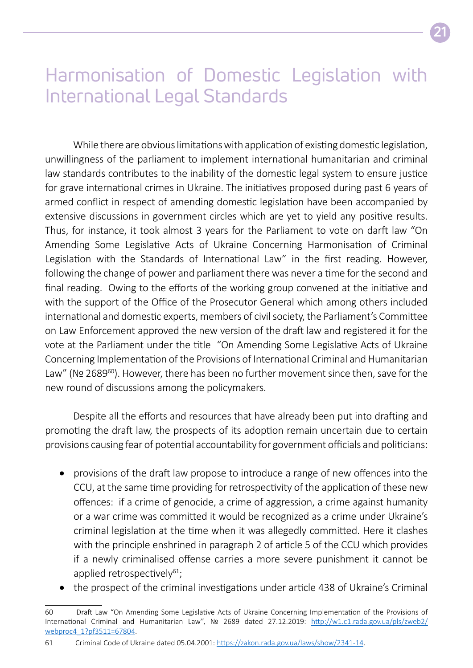### Harmonisation of Domestic Legislation with International Legal Standards

While there are obvious limitations with application of existing domestic legislation, unwillingness of the parliament to implement international humanitarian and criminal law standards contributes to the inability of the domestic legal system to ensure justice for grave international crimes in Ukraine. The initiatives proposed during past 6 years of armed conflict in respect of amending domestic legislation have been accompanied by extensive discussions in government circles which are yet to yield any positive results. Thus, for instance, it took almost 3 years for the Parliament to vote on darft law "On Amending Some Legislative Acts of Ukraine Concerning Harmonisation of Criminal Legislation with the Standards of International Law" in the first reading. However, following the change of power and parliament there was never a time for the second and final reading. Owing to the efforts of the working group convened at the initiative and with the support of the Office of the Prosecutor General which among others included international and domestic experts, members of civil society, the Parliament's Committee on Law Enforcement approved the new version of the draft law and registered it for the vote at the Parliament under the title "On Amending Some Legislative Acts of Ukraine Concerning Implementation of the Provisions of International Criminal and Humanitarian Law" (Nº 2689<sup>60</sup>). However, there has been no further movement since then, save for the new round of discussions among the policymakers.

Despite all the efforts and resources that have already been put into drafting and promoting the draft law, the prospects of its adoption remain uncertain due to certain provisions causing fear of potential accountability for government officials and politicians:

- provisions of the draft law propose to introduce a range of new offences into the CCU, at the same time providing for retrospectivity of the application of these new offences: if a crime of genocide, a crime of aggression, a crime against humanity or a war crime was committed it would be recognized as a crime under Ukraine's criminal legislation at the time when it was allegedly committed. Here it clashes with the principle enshrined in paragraph 2 of article 5 of the CCU which provides if a newly criminalised offense carries a more severe punishment it cannot be applied retrospectively $61$ ;
- the prospect of the criminal investigations under article 438 of Ukraine's Criminal

61 Criminal Code of Ukraine dated 05.04.2001: [https://zakon.rada.gov.ua/laws/show/2341-14.](https://zakon.rada.gov.ua/laws/show/2341-14)

<sup>60</sup> Draft Law "On Amending Some Legislative Acts of Ukraine Concerning Implementation of the Provisions of International Criminal and Humanitarian Law", № 2689 dated 27.12.2019: [http://w1.c1.rada.gov.ua/pls/zweb2/](http://w1.c1.rada.gov.ua/pls/zweb2/webproc4_1?pf3511=67804) [webproc4\\_1?pf3511=67804](http://w1.c1.rada.gov.ua/pls/zweb2/webproc4_1?pf3511=67804).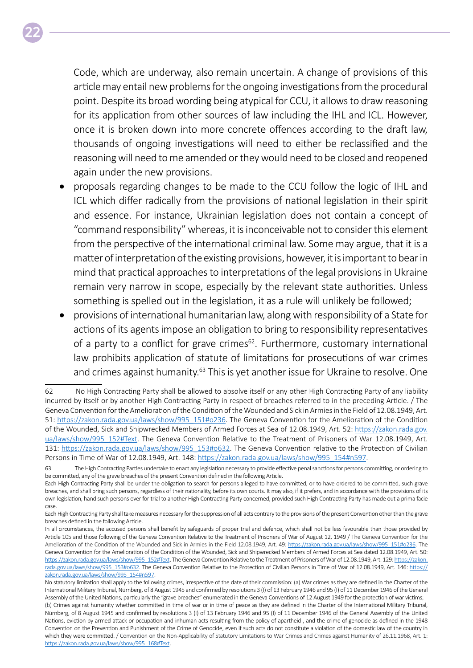Code, which are underway, also remain uncertain. A change of provisions of this article may entail new problems for the ongoing investigations from the procedural point. Despite its broad wording being atypical for CCU, it allows to draw reasoning for its application from other sources of law including the IHL and ICL. However, once it is broken down into more concrete offences according to the draft law, thousands of ongoing investigations will need to either be reclassified and the reasoning will need to me amended or they would need to be closed and reopened again under the new provisions.

**22**

- proposals regarding changes to be made to the CCU follow the logic of IHL and ICL which differ radically from the provisions of national legislation in their spirit and essence. For instance, Ukrainian legislation does not contain a concept of "command responsibility" whereas, it is inconceivable not to consider this element from the perspective of the international criminal law. Some may argue, that it is a matter of interpretation of the existing provisions, however, it is important to bear in mind that practical approaches to interpretations of the legal provisions in Ukraine remain very narrow in scope, especially by the relevant state authorities. Unless something is spelled out in the legislation, it as a rule will unlikely be followed;
- provisions of international humanitarian law, along with responsibility of a State for actions of its agents impose an obligation to bring to responsibility representatives of a party to a conflict for grave crimes<sup>62</sup>. Furthermore, customary international law prohibits application of statute of limitations for prosecutions of war crimes and crimes against humanity.<sup>63</sup> This is yet another issue for Ukraine to resolve. One

<sup>62</sup> No High Contracting Party shall be allowed to absolve itself or any other High Contracting Party of any liability incurred by itself or by another High Contracting Party in respect of breaches referred to in the preceding Article. / The Geneva Convention for the Amelioration of the Condition of the Wounded and Sick in Armiesin the Field of 12.08.1949, Art. 51: [https://zakon.rada.gov.ua/laws/show/995\\_151#o236](https://zakon.rada.gov.ua/laws/show/995_151#o236). The Geneva Convention for the Amelioration of the Condition of the Wounded, Sick and Shipwrecked Members of Armed Forces at Sea of 12.08.1949, Art. 52: [https://zakon.rada.gov.](https://zakon.rada.gov.ua/laws/show/995_152#Text) [ua/laws/show/995\\_152#Text.](https://zakon.rada.gov.ua/laws/show/995_152#Text) The Geneva Convention Relative to the Treatment of Prisoners of War 12.08.1949, Art. 131: [https://zakon.rada.gov.ua/laws/show/995\\_153#o632](https://zakon.rada.gov.ua/laws/show/995_153#o632). The Geneva Convention relative to the Protection of Civilian Persons in Time of War of 12.08.1949, Art. 148: [https://zakon.rada.gov.ua/laws/show/995\\_154#n597](https://zakon.rada.gov.ua/laws/show/995_154#n597).

<sup>63</sup> The High Contracting Parties undertake to enact any legislation necessary to provide effective penal sanctions for persons committing, or ordering to be committed, any of the grave breaches of the present Convention defined in the following Article.

Each High Contracting Party shall be under the obligation to search for persons alleged to have committed, or to have ordered to be committed, such grave breaches, and shall bring such persons, regardless of their nationality, before its own courts. It may also, if it prefers, and in accordance with the provisions of its own legislation, hand such persons over for trial to another High Contracting Party concerned, provided such High Contracting Party has made out a prima facie case.

Each High Contracting Party shall take measures necessary for the suppression of all acts contrary to the provisions of the present Convention other than the grave breaches defined in the following Article.

In all circumstances, the accused persons shall benefit by safeguards of proper trial and defence, which shall not be less favourable than those provided by Article 105 and those following of the Geneva Convention Relative to the Treatment of Prisoners of War of August 12, 1949 / The Geneva Convention for the Amelioration of the Condition of the Wounded and Sick in Armies in the Field 12.08.1949, Art. 49: [https://zakon.rada.gov.ua/laws/show/995\\_151#o236](https://zakon.rada.gov.ua/laws/show/995_151#o236). The Geneva Convention for the Amelioration of the Condition of the Wounded, Sick and Shipwrecked Members of Armed Forces at Sea dated 12.08.1949, Art. 50: [https://zakon.rada.gov.ua/laws/show/995\\_152#Text.](https://zakon.rada.gov.ua/laws/show/995_152#Text) The Geneva Convention Relative to the Treatment of Prisoners of War of 12.08.1949, Art. 129: [https://zakon.](https://zakon.rada.gov.ua/laws/show/995_153#o632) [rada.gov.ua/laws/show/995\\_153#o632](https://zakon.rada.gov.ua/laws/show/995_153#o632). The Geneva Convention Relative to the Protection of Civilian Persons in Time of War of 12.08.1949, Art. 146: [https://](https://zakon.rada.gov.ua/laws/show/995_154#n597) [zakon.rada.gov.ua/laws/show/995\\_154#n597](https://zakon.rada.gov.ua/laws/show/995_154#n597).

No statutory limitation shall apply to the following crimes, irrespective of the date of their commission: (a) War crimes as they are defined in the Charter of the International Military Tribunal, Nürnberg, of 8 August 1945 and confirmed by resolutions 3 (I) of 13 February 1946 and 95 (I) of 11 December 1946 of the General Assembly of the United Nations, particularly the "grave breaches" enumerated in the Geneva Conventions of 12 August 1949 for the protection of war victims;

<sup>(</sup>b) Crimes against humanity whether committed in time of war or in time of peace as they are defined in the Charter of the International Military Tribunal, Nürnberg, of 8 August 1945 and confirmed by resolutions 3 (I) of 13 February 1946 and 95 (I) of 11 December 1946 of the General Assembly of the United Nations, eviction by armed attack or occupation and inhuman acts resulting from the policy of apartheid , and the crime of genocide as defined in the 1948 Convention on the Prevention and Punishment of the Crime of Genocide, even if such acts do not constitute a violation of the domestic law of the country in which they were committed. / Convention on the Non-Applicability of Statutory Limitations to War Crimes and Crimes against Humanity of 26.11.1968, Art. 1: [https://zakon.rada.gov.ua/laws/show/995\\_168#Text.](https://zakon.rada.gov.ua/laws/show/995_168#Text)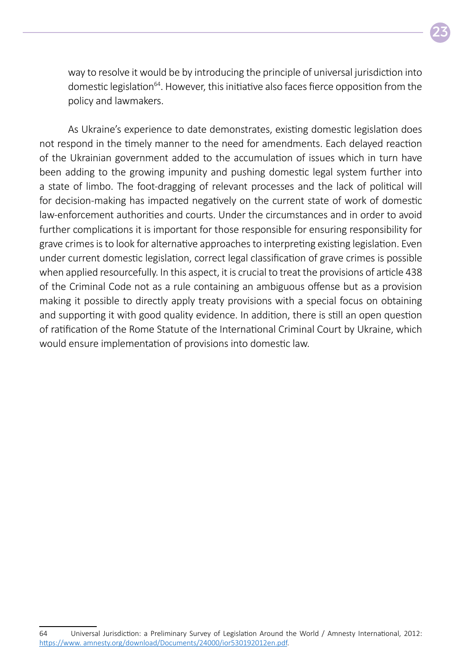

way to resolve it would be by introducing the principle of universal jurisdiction into domestic legislation<sup>64</sup>. However, this initiative also faces fierce opposition from the policy and lawmakers.

As Ukraine's experience to date demonstrates, existing domestic legislation does not respond in the timely manner to the need for amendments. Each delayed reaction of the Ukrainian government added to the accumulation of issues which in turn have been adding to the growing impunity and pushing domestic legal system further into a state of limbo. The foot-dragging of relevant processes and the lack of political will for decision-making has impacted negatively on the current state of work of domestic law-enforcement authorities and courts. Under the circumstances and in order to avoid further complications it is important for those responsible for ensuring responsibility for grave crimes is to look for alternative approaches to interpreting existing legislation. Even under current domestic legislation, correct legal classification of grave crimes is possible when applied resourcefully. In this aspect, it is crucial to treat the provisions of article 438 of the Criminal Code not as a rule containing an ambiguous offense but as a provision making it possible to directly apply treaty provisions with a special focus on obtaining and supporting it with good quality evidence. In addition, there is still an open question of ratification of the Rome Statute of the International Criminal Court by Ukraine, which would ensure implementation of provisions into domestic law.

<sup>64</sup> Universal Jurisdiction: a Preliminary Survey of Legislation Around the World / Amnesty International, 2012: [https://www. amnesty.org/download/Documents/24000/ior530192012en.pdf.](https://www.amnesty.org/download/Documents/24000/ior530192012en.pdf)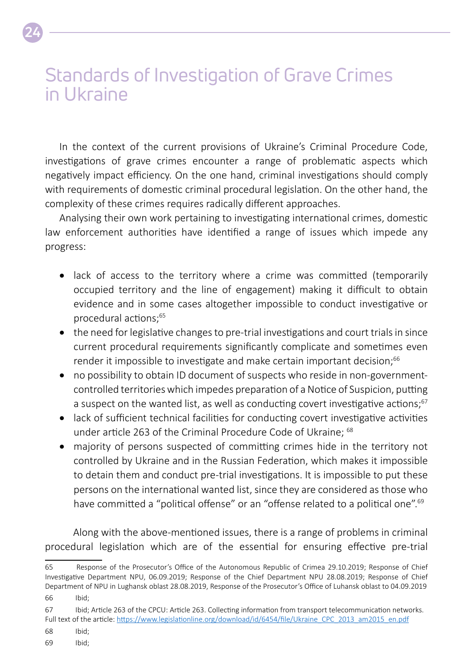### Standards of Investigation of Grave Crimes in Ukraine

In the context of the current provisions of Ukraine's Criminal Procedure Code, investigations of grave crimes encounter a range of problematic aspects which negatively impact efficiency. On the one hand, criminal investigations should comply with requirements of domestic criminal procedural legislation. On the other hand, the complexity of these crimes requires radically different approaches.

Analysing their own work pertaining to investigating international crimes, domestic law enforcement authorities have identified a range of issues which impede any progress:

- lack of access to the territory where a crime was committed (temporarily occupied territory and the line of engagement) making it difficult to obtain evidence and in some cases altogether impossible to conduct investigative or procedural actions;65
- the need for legislative changes to pre-trial investigations and court trials in since current procedural requirements significantly complicate and sometimes even render it impossible to investigate and make certain important decision;<sup>66</sup>
- no possibility to obtain ID document of suspects who reside in non-governmentcontrolled territories which impedes preparation of a Notice of Suspicion, putting a suspect on the wanted list, as well as conducting covert investigative actions;<sup>67</sup>
- lack of sufficient technical facilities for conducting covert investigative activities under article 263 of the Criminal Procedure Code of Ukraine; <sup>68</sup>
- majority of persons suspected of committing crimes hide in the territory not controlled by Ukraine and in the Russian Federation, which makes it impossible to detain them and conduct pre-trial investigations. It is impossible to put these persons on the international wanted list, since they are considered as those who have committed a "political offense" or an "offense related to a political one".<sup>69</sup>

Along with the above-mentioned issues, there is a range of problems in criminal procedural legislation which are of the essential for ensuring effective pre-trial

**24**

<sup>65</sup> Response of the Prosecutor's Office of the Autonomous Republic of Crimea 29.10.2019; Response of Chief Investigative Department NPU, 06.09.2019; Response of the Chief Department NPU 28.08.2019; Response of Chief Department of NPU in Lughansk oblast 28.08.2019, Response of the Prosecutor's Office of Luhansk oblast to 04.09.2019 66 Ibid;

<sup>67</sup> Ibid; Article 263 of the CPCU: Article 263. Collecting information from transport telecommunication networks. Full text of the article: [https://www.legislationline.org/download/id/6454/file/Ukraine\\_CPC\\_2013\\_am2015\\_en.pdf](https://www.legislationline.org/download/id/6454/file/Ukraine_CPC_2013_am2015_en.pdf)

<sup>68</sup> Ibid;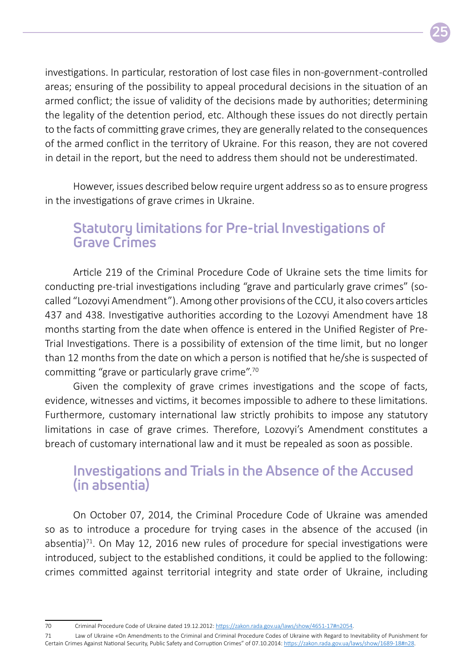investigations. In particular, restoration of lost case files in non-government -controlled areas; ensuring of the possibility to appeal procedural decisions in the situation of an armed conflict; the issue of validity of the decisions made by authorities; determining the legality of the detention period, etc. Although these issues do not directly pertain to the facts of committing grave crimes, they are generally related to the consequences of the armed conflict in the territory of Ukraine. For this reason, they are not covered in detail in the report, but the need to address them should not be underestimated.

However, issues described below require urgent address so as to ensure progress in the investigations of grave crimes in Ukraine.

#### **Statutory limitations for Pre-trial Investigations of Grave Crimes**

Article 219 of the Criminal Procedure Code of Ukraine sets the time limits for conducting pre-trial investigations including "grave and particularly grave crimes" (socalled "Lozovyi Amendment"). Among other provisions of the CCU, it also covers articles 437 and 438. Investigative authorities according to the Lozovyi Amendment have 18 months starting from the date when offence is entered in the Unified Register of Pre-Trial Investigations. There is a possibility of extension of the time limit, but no longer than 12 months from the date on which a person is notified that he/she is suspected of committing "grave or particularly grave crime".70

Given the complexity of grave crimes investigations and the scope of facts, evidence, witnesses and victims, it becomes impossible to adhere to these limitations. Furthermore, customary international law strictly prohibits to impose any statutory limitations in case of grave crimes. Therefore, Lozovyi's Amendment constitutes a breach of customary international law and it must be repealed as soon as possible.

#### **Investigations and Trials in the Absence of the Accused (in absentia)**

On October 07, 2014, the Criminal Procedure Code of Ukraine was amended so as to introduce a procedure for trying cases in the absence of the accused (in absentia) $71$ . On May 12, 2016 new rules of procedure for special investigations were introduced, subject to the established conditions, it could be applied to the following: crimes committed against territorial integrity and state order of Ukraine, including

<sup>70</sup> Criminal Procedure Code of Ukraine dated 19.12.2012: [https://zakon.rada.gov.ua/laws/show/4651-17#n2054.](https://zakon.rada.gov.ua/laws/show/4651-17#n2054)

<sup>71</sup> Law of Ukraine «On Amendments to the Criminal and Criminal Procedure Codes of Ukraine with Regard to Inevitability of Punishment for Certain Crimes Against National Security, Public Safety and Corruption Crimes" of 07.10.2014: [https://zakon.rada.gov.ua/laws/show/1689-18#n28.](https://zakon.rada.gov.ua/laws/show/1689-18#n28)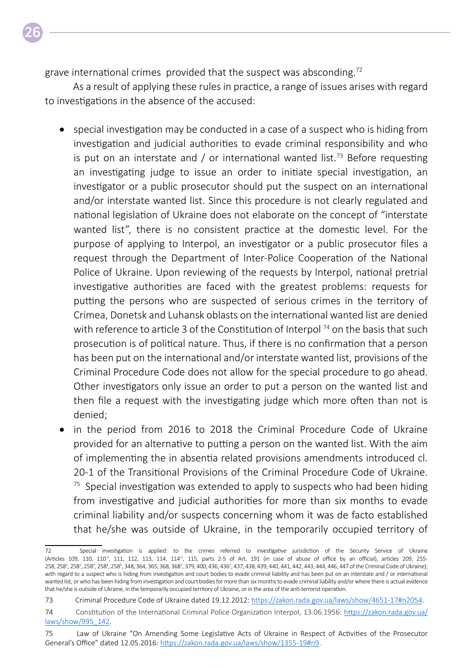grave international crimes provided that the suspect was absconding.<sup>72</sup>

As a result of applying these rules in practice, a range of issues arises with regard to investigations in the absence of the accused:

- special investigation may be conducted in a case of a suspect who is hiding from investigation and judicial authorities to evade criminal responsibility and who is put on an interstate and / or international wanted list.<sup>73</sup> Before requesting an investigating judge to issue an order to initiate special investigation, an investigator or a public prosecutor should put the suspect on an international and/or interstate wanted list. Since this procedure is not clearly regulated and national legislation of Ukraine does not elaborate on the concept of "interstate wanted list", there is no consistent practice at the domestic level. For the purpose of applying to Interpol, an investigator or a public prosecutor files a request through the Department of Inter-Police Cooperation of the National Police of Ukraine. Upon reviewing of the requests by Interpol, national pretrial investigative authorities are faced with the greatest problems: requests for putting the persons who are suspected of serious crimes in the territory of Crimea, Donetsk and Luhansk oblasts on the international wanted list are denied with reference to article 3 of the Constitution of Interpol<sup>74</sup> on the basis that such prosecution is of political nature. Thus, if there is no confirmation that a person has been put on the international and/or interstate wanted list, provisions of the Criminal Procedure Code does not allow for the special procedure to go ahead. Other investigators only issue an order to put a person on the wanted list and then file a request with the investigating judge which more often than not is denied;
- in the period from 2016 to 2018 the Criminal Procedure Code of Ukraine provided for an alternative to putting a person on the wanted list. With the aim of implementing the in absentia related provisions amendments introduced cl. 20-1 of the Transitional Provisions of the Criminal Procedure Code of Ukraine.  $75$  Special investigation was extended to apply to suspects who had been hiding from investigative and judicial authorities for more than six months to evade criminal liability and/or suspects concerning whom it was de facto established that he/she was outside of Ukraine, in the temporarily occupied territory of

<sup>72</sup> Special investigation is applied: to the crimes referred to investigative jurisdiction of the Security Service of Ukraine (Articles 109, 110, 110<sup>2</sup>, 111, 112, 113, 114, 114<sup>-1</sup>, 115, parts 2-5 of Art. 191 (in case of abuse of office by an official), articles 209, 255-258, 258<sup>1</sup>, 258<sup>2</sup>, 258<sup>3</sup>, 258<sup>4</sup>, 258<sup>5</sup>, 348, 364, 365, 368, 368<sup>2</sup>, 379, 400, 436, 436<sup>1</sup>, 437, 438, 439, 440, 441, 442, 443, 444, 446, 447 of the Criminal Code of Ukraine); with regard to a suspect who is hiding from investigation and court bodies to evade criminal liability and has been put on an interstate and / or international wanted list, or who has been hiding from investigation and court bodies for more than six months to evade criminal liability and/or where there is actual evidence that he/she is outside of Ukraine, in the temporarily occupied territory of Ukraine, or in the area of the anti-terrorist operation.

<sup>73</sup> Criminal Procedure Code of Ukraine dated 19.12.2012: [https://zakon.rada.gov.ua/laws/show/4651-17#n2054.](https://zakon.rada.gov.ua/laws/show/4651-17#n2054)

<sup>74</sup> Constitution of the International Criminal Police Organization Interpol, 13.06.1956: https[://zakon.rada.gov.ua/](https://zakon.rada.gov.ua/laws/show/995_142) [laws/show/995\\_142](https://zakon.rada.gov.ua/laws/show/995_142).

<sup>75</sup> Law of Ukraine "On Amending Some Legislative Acts of Ukraine in Respect of Activities of the Prosecutor General's Office" dated 12.05.2016: [https://zakon.rada.gov.ua/laws/show/1355-19#n9.](https://zakon.rada.gov.ua/laws/show/1355-19#n9)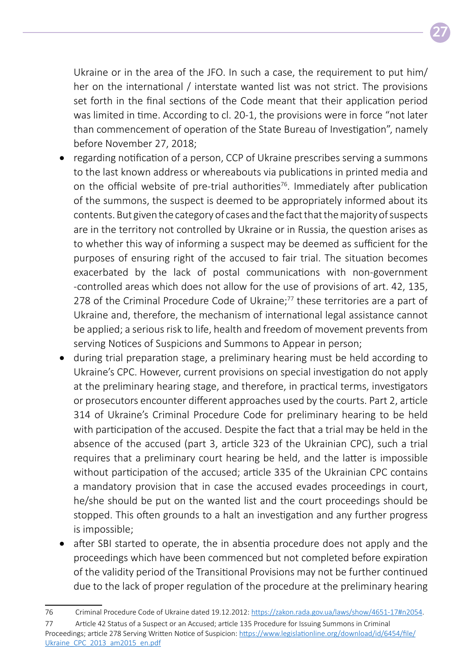Ukraine or in the area of the JFO. In such a case, the requirement to put him/ her on the international / interstate wanted list was not strict. The provisions set forth in the final sections of the Code meant that their application period was limited in time. According to cl. 20-1, the provisions were in force "not later than commencement of operation of the State Bureau of Investigation", namely before November 27, 2018;

- regarding notification of a person, CCP of Ukraine prescribes serving a summons to the last known address or whereabouts via publications in printed media and on the official website of pre-trial authorities<sup>76</sup>. Immediately after publication of the summons, the suspect is deemed to be appropriately informed about its contents. But given the category of cases and the fact that the majority of suspects are in the territory not controlled by Ukraine or in Russia, the question arises as to whether this way of informing a suspect may be deemed as sufficient for the purposes of ensuring right of the accused to fair trial. The situation becomes exacerbated by the lack of postal communications with non-government -controlled areas which does not allow for the use of provisions of art. 42, 135, 278 of the Criminal Procedure Code of Ukraine;<sup>77</sup> these territories are a part of Ukraine and, therefore, the mechanism of international legal assistance cannot be applied; a serious risk to life, health and freedom of movement prevents from serving Notices of Suspicions and Summons to Appear in person;
- during trial preparation stage, a preliminary hearing must be held according to Ukraine's CPC. However, current provisions on special investigation do not apply at the preliminary hearing stage, and therefore, in practical terms, investigators or prosecutors encounter different approaches used by the courts. Part 2, article 314 of Ukraine's Criminal Procedure Code for preliminary hearing to be held with participation of the accused. Despite the fact that a trial may be held in the absence of the accused (part 3, article 323 of the Ukrainian CPC), such a trial requires that a preliminary court hearing be held, and the latter is impossible without participation of the accused; article 335 of the Ukrainian CPC contains a mandatory provision that in case the accused evades proceedings in court, he/she should be put on the wanted list and the court proceedings should be stopped. This often grounds to a halt an investigation and any further progress is impossible;
- after SBI started to operate, the in absentia procedure does not apply and the proceedings which have been commenced but not completed before expiration of the validity period of the Transitional Provisions may not be further continued due to the lack of proper regulation of the procedure at the preliminary hearing

<sup>76</sup> Criminal Procedure Code of Ukraine dated 19.12.2012: [https://zakon.rada.gov.ua/laws/show/4651-17#n2054.](https://zakon.rada.gov.ua/laws/show/4651-17#n2054)

<sup>77</sup> Article 42 Status of a Suspect or an Accused; article 135 Procedure for Issuing Summons in Criminal Proceedings; article 278 Serving Written Notice of Suspicion: [https://www.legislationline.org/download/id/6454/file/](https://www.legislationline.org/download/id/6454/file/Ukraine_CPC_2013_am2015_en.pdf) [Ukraine\\_CPC\\_2013\\_am2015\\_en.pdf](https://www.legislationline.org/download/id/6454/file/Ukraine_CPC_2013_am2015_en.pdf)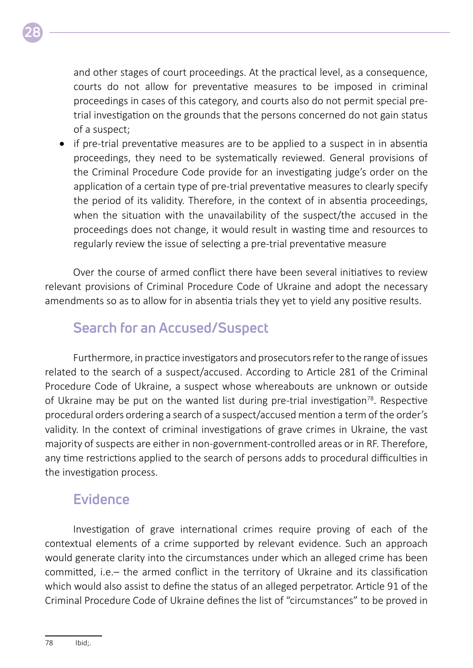

and other stages of court proceedings. At the practical level, as a consequence, courts do not allow for preventative measures to be imposed in criminal proceedings in cases of this category, and courts also do not permit special pretrial investigation on the grounds that the persons concerned do not gain status of a suspect;

• if pre-trial preventative measures are to be applied to a suspect in in absentia proceedings, they need to be systematically reviewed. General provisions of the Criminal Procedure Code provide for an investigating judge's order on the application of a certain type of pre-trial preventative measures to clearly specify the period of its validity. Therefore, in the context of in absentia proceedings, when the situation with the unavailability of the suspect/the accused in the proceedings does not change, it would result in wasting time and resources to regularly review the issue of selecting a pre-trial preventative measure

Over the course of armed conflict there have been several initiatives to review relevant provisions of Criminal Procedure Code of Ukraine and adopt the necessary amendments so as to allow for in absentia trials they yet to yield any positive results.

#### **Search for an Accused/Suspect**

Furthermore, in practice investigators and prosecutors refer to the range of issues related to the search of a suspect/accused. According to Article 281 of the Criminal Procedure Code of Ukraine, a suspect whose whereabouts are unknown or outside of Ukraine may be put on the wanted list during pre-trial investigation<sup>78</sup>. Respective procedural orders ordering a search of a suspect/accused mention a term of the order's validity. In the context of criminal investigations of grave crimes in Ukraine, the vast majority of suspects are either in non-government-controlled areas or in RF. Therefore, any time restrictions applied to the search of persons adds to procedural difficulties in the investigation process.

#### **Evidence**

Investigation of grave international crimes require proving of each of the contextual elements of a crime supported by relevant evidence. Such an approach would generate clarity into the circumstances under which an alleged crime has been committed, i.e.– the armed conflict in the territory of Ukraine and its classification which would also assist to define the status of an alleged perpetrator. Article 91 of the Criminal Procedure Code of Ukraine defines the list of "circumstances" to be proved in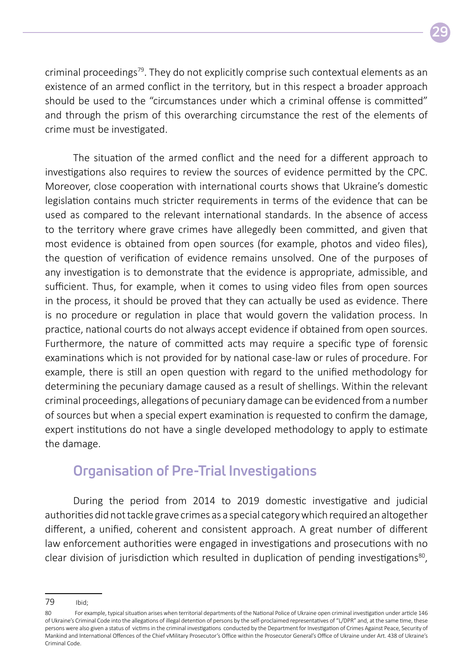

criminal proceedings<sup>79</sup>. They do not explicitly comprise such contextual elements as an existence of an armed conflict in the territory, but in this respect a broader approach should be used to the "circumstances under which a criminal offense is committed" and through the prism of this overarching circumstance the rest of the elements of crime must be investigated.

The situation of the armed conflict and the need for a different approach to investigations also requires to review the sources of evidence permitted by the CPC. Moreover, close cooperation with international courts shows that Ukraine's domestic legislation contains much stricter requirements in terms of the evidence that can be used as compared to the relevant international standards. In the absence of access to the territory where grave crimes have allegedly been committed, and given that most evidence is obtained from open sources (for example, photos and video files), the question of verification of evidence remains unsolved. One of the purposes of any investigation is to demonstrate that the evidence is appropriate, admissible, and sufficient. Thus, for example, when it comes to using video files from open sources in the process, it should be proved that they can actually be used as evidence. There is no procedure or regulation in place that would govern the validation process. In practice, national courts do not always accept evidence if obtained from open sources. Furthermore, the nature of committed acts may require a specific type of forensic examinations which is not provided for by national case-law or rules of procedure. For example, there is still an open question with regard to the unified methodology for determining the pecuniary damage caused as a result of shellings. Within the relevant criminal proceedings, allegations of pecuniary damage can be evidenced from a number of sources but when a special expert examination is requested to confirm the damage, expert institutions do not have a single developed methodology to apply to estimate the damage.

#### **Organisation of Pre-Trial Investigations**

During the period from 2014 to 2019 domestic investigative and judicial authorities did not tackle grave crimes as a special category which required an altogether different, a unified, coherent and consistent approach. A great number of different law enforcement authorities were engaged in investigations and prosecutions with no clear division of jurisdiction which resulted in duplication of pending investigations<sup>80</sup>,

<sup>79</sup> Ibid;

<sup>80</sup> For example, typical situation arises when territorial departments of the National Police of Ukraine open criminal investigation under article 146 of Ukraine's Criminal Code into the allegations of illegal detention of persons by the self-proclaimed representatives of "L/DPR" and, at the same time, these persons were also given a status of victims in the criminal investigations conducted by the Department for Investigation of Crimes Against Peace, Security of Mankind and International Offences of the Chief vMilitary Prosecutor's Office within the Prosecutor General's Office of Ukraine under Art. 438 of Ukraine's Criminal Code.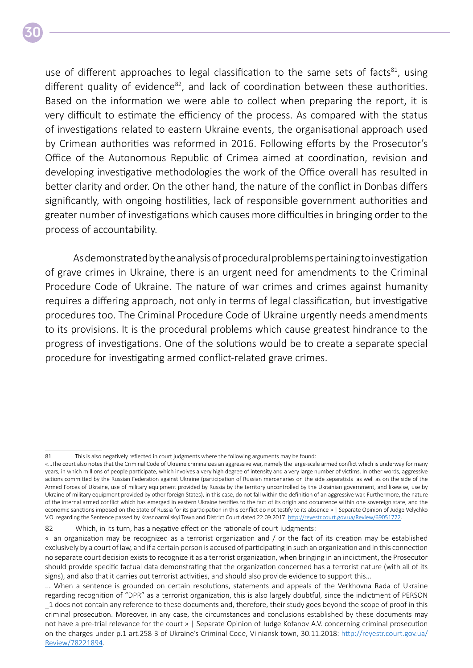use of different approaches to legal classification to the same sets of facts<sup>81</sup>, using different quality of evidence $82$ , and lack of coordination between these authorities. Based on the information we were able to collect when preparing the report, it is very difficult to estimate the efficiency of the process. As compared with the status of investigations related to eastern Ukraine events, the organisational approach used by Crimean authorities was reformed in 2016. Following efforts by the Prosecutor's Office of the Autonomous Republic of Crimea aimed at coordination, revision and developing investigative methodologies the work of the Office overall has resulted in better clarity and order. On the other hand, the nature of the conflict in Donbas differs significantly, with ongoing hostilities, lack of responsible government authorities and greater number of investigations which causes more difficulties in bringing order to the process of accountability.

As demonstrated by the analysis of procedural problems pertaining to investigation of grave crimes in Ukraine, there is an urgent need for amendments to the Criminal Procedure Code of Ukraine. The nature of war crimes and crimes against humanity requires a differing approach, not only in terms of legal classification, but investigative procedures too. The Criminal Procedure Code of Ukraine urgently needs amendments to its provisions. It is the procedural problems which cause greatest hindrance to the progress of investigations. One of the solutions would be to create a separate special procedure for investigating armed conflict-related grave crimes.

82 Which, in its turn, has a negative effect on the rationale of court judgments:

<sup>81</sup> This is also negatively reflected in court judgments where the following arguments may be found:

<sup>«…</sup>The court also notes that the Criminal Code of Ukraine criminalizes an aggressive war, namely the large-scale armed conflict which is underway for many years, in which millions of people participate, which involves a very high degree of intensity and a very large number of victims. In other words, aggressive actions committed by the Russian Federation against Ukraine (participation of Russian mercenaries on the side separatists as well as on the side of the Armed Forces of Ukraine, use of military equipment provided by Russia by the territory uncontrolled by the Ukrainian government, and likewise, use by Ukraine of military equipment provided by other foreign States), in this case, do not fall within the definition of an aggressive war. Furthermore, the nature of the internal armed conflict which has emerged in eastern Ukraine testifies to the fact of its origin and occurrence within one sovereign state, and the economic sanctions imposed on the State of Russia for its participation in this conflict do not testify to its absence » | Separate Opinion of Judge Velychko V.O. regarding the Sentence passed by Krasnoarmiiskyi Town and District Court dated 22.09.2017: <http://reyestr.court.gov.ua/Review/69051772>.

<sup>«</sup> an organization may be recognized as a terrorist organization and / or the fact of its creation may be established exclusively by a court of law, and if a certain person is accused of participating in such an organization and in this connection no separate court decision exists to recognize it as a terrorist organization, when bringing in an indictment, the Prosecutor should provide specific factual data demonstrating that the organization concerned has a terrorist nature (with all of its signs), and also that it carries out terrorist activities, and should also provide evidence to support this…

<sup>...</sup> When a sentence is grounded on certain resolutions, statements and appeals of the Verkhovna Rada of Ukraine regarding recognition of "DPR" as a terrorist organization, this is also largely doubtful, since the indictment of PERSON 1 does not contain any reference to these documents and, therefore, their study goes beyond the scope of proof in this criminal prosecution. Moreover, in any case, the circumstances and conclusions established by these documents may not have a pre-trial relevance for the court » | Separate Opinion of Judge Kofanov А.V. concerning criminal prosecution on the charges under p.1 art.258-3 of Ukraine's Criminal Code, Vilniansk town, 30.11.2018: [http://reyestr.court.gov.ua/](http://reyestr.court.gov.ua/Review/78221894) [Review/78221894](http://reyestr.court.gov.ua/Review/78221894).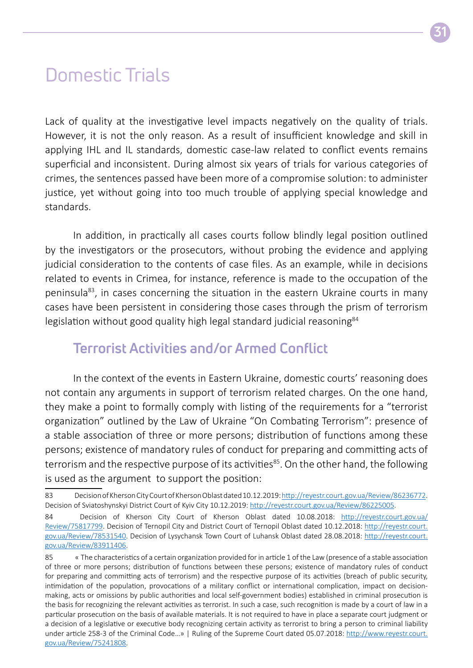### Domestic Trials

Lack of quality at the investigative level impacts negatively on the quality of trials. However, it is not the only reason. As a result of insufficient knowledge and skill in applying IHL and IL standards, domestic case-law related to conflict events remains superficial and inconsistent. During almost six years of trials for various categories of crimes, the sentences passed have been more of a compromise solution: to administer justice, yet without going into too much trouble of applying special knowledge and standards.

In addition, in practically all cases courts follow blindly legal position outlined by the investigators or the prosecutors, without probing the evidence and applying judicial consideration to the contents of case files. As an example, while in decisions related to events in Crimea, for instance, reference is made to the occupation of the peninsula83, in cases concerning the situation in the eastern Ukraine courts in many cases have been persistent in considering those cases through the prism of terrorism legislation without good quality high legal standard judicial reasoning<sup>84</sup>

#### **Terrorist Activities and/or Armed Conflict**

In the context of the events in Eastern Ukraine, domestic courts' reasoning does not contain any arguments in support of terrorism related charges. On the one hand, they make a point to formally comply with listing of the requirements for a "terrorist organization" outlined by the Law of Ukraine "On Combating Terrorism": presence of a stable association of three or more persons; distribution of functions among these persons; existence of mandatory rules of conduct for preparing and committing acts of terrorism and the respective purpose of its activities<sup>85</sup>. On the other hand, the following is used as the argument to support the position:

<sup>83</sup> Decision of Kherson City Court of Kherson Oblast dated 10.12.2019:<http://reyestr.court.gov.ua/Review/86236772>. Decision of Sviatoshynskyi District Court of Kyiv City 10.12.2019: <http://reyestr.court.gov.ua/Review/86225005>.

<sup>84</sup> Decision of Kherson City Court of Kherson Oblast dated 10.08.2018: [http://reyestr.court.gov.ua/](http://reyestr.court.gov.ua/Review/75817799) [Review/75817799](http://reyestr.court.gov.ua/Review/75817799). Decision of Ternopil City and District Court of Ternopil Oblast dated 10.12.2018: [http://reyestr.court.](http://reyestr.court.gov.ua/Review/78531540) [gov.ua/Review/78531540.](http://reyestr.court.gov.ua/Review/78531540) Decision of Lysychansk Town Court of Luhansk Oblast dated 28.08.2018: [http://reyestr.court.](http://reyestr.court.gov.ua/Review/83911406) [gov.ua/Review/83911406.](http://reyestr.court.gov.ua/Review/83911406)

<sup>85 «</sup> The characteristics of a certain organization provided for in article 1 of the Law (presence of a stable association of three or more persons; distribution of functions between these persons; existence of mandatory rules of conduct for preparing and committing acts of terrorism) and the respective purpose of its activities (breach of public security, intimidation of the population, provocations of a military conflict or international complication, impact on decisionmaking, acts or omissions by public authorities and local self-government bodies) established in criminal prosecution is the basis for recognizing the relevant activities as terrorist. In such a case, such recognition is made by a court of law in a particular prosecution on the basis of available materials. It is not required to have in place a separate court judgment or a decision of a legislative or executive body recognizing certain activity as terrorist to bring a person to criminal liability under article 258-3 of the Criminal Code...» | Ruling of the Supreme Court dated 05.07.2018: http[://www.reyestr.court.](http://www.reyestr.court.gov.ua/Review/75241808) [gov.ua/Review/75241808.](http://www.reyestr.court.gov.ua/Review/75241808)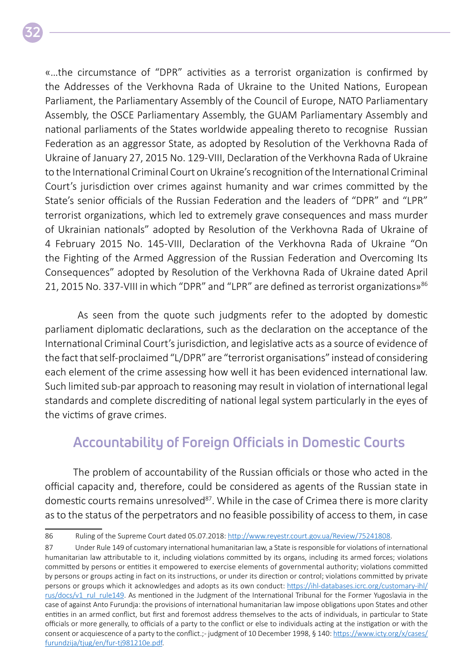«…the circumstance of "DPR" activities as a terrorist organization is confirmed by the Addresses of the Verkhovna Rada of Ukraine to the United Nations, European Parliament, the Parliamentary Assembly of the Council of Europe, NATO Parliamentary Assembly, the OSCE Parliamentary Assembly, the GUAM Parliamentary Assembly and national parliaments of the States worldwide appealing thereto to recognise Russian Federation as an aggressor State, as adopted by Resolution of the Verkhovna Rada of Ukraine of January 27, 2015 No. 129-VIII, Declaration of the Verkhovna Rada of Ukraine to the International Criminal Court on Ukraine's recognition of the International Criminal Court's jurisdiction over crimes against humanity and war crimes committed by the State's senior officials of the Russian Federation and the leaders of "DPR" and "LPR" terrorist organizations, which led to extremely grave consequences and mass murder of Ukrainian nationals" adopted by Resolution of the Verkhovna Rada of Ukraine of 4 February 2015 No. 145-VIII, Declaration of the Verkhovna Rada of Ukraine "On the Fighting of the Armed Aggression of the Russian Federation and Overcoming Its Consequences" adopted by Resolution of the Verkhovna Rada of Ukraine dated April 21, 2015 No. 337-VIII in which "DPR" and "LPR" are defined as terrorist organizations»<sup>86</sup>

 As seen from the quote such judgments refer to the adopted by domestic parliament diplomatic declarations, such as the declaration on the acceptance of the International Criminal Court's jurisdiction, and legislative acts as a source of evidence of the fact that self-proclaimed "L/DPR" are "terrorist organisations" instead of considering each element of the crime assessing how well it has been evidenced international law. Such limited sub-par approach to reasoning may result in violation of international legal standards and complete discrediting of national legal system particularly in the eyes of the victims of grave crimes.

#### **Accountability of Foreign Officials in Domestic Courts**

The problem of accountability of the Russian officials or those who acted in the official capacity and, therefore, could be considered as agents of the Russian state in domestic courts remains unresolved<sup>87</sup>. While in the case of Crimea there is more clarity as to the status of the perpetrators and no feasible possibility of access to them, in case

<sup>86</sup> Ruling of the Supreme Court dated 05.07.2018: http[://www.reyestr.court.gov.ua/Review/75241808](http://www.reyestr.court.gov.ua/Review/75241808).

<sup>87</sup> Under Rule 149 of customary international humanitarian law, a State is responsible for violations of international humanitarian law attributable to it, including violations committed by its organs, including its armed forces; violations committed by persons or entities it empowered to exercise elements of governmental authority; violations committed by persons or groups acting in fact on its instructions, or under its direction or control; violations committed by private persons or groups which it acknowledges and adopts as its own conduct: [https://ihl-databases.icrc.org/customary-ihl/](https://ihl-databases.icrc.org/customary-ihl/rus/docs/v1_rul_rule149) [rus/docs/v1\\_rul\\_rule149](https://ihl-databases.icrc.org/customary-ihl/rus/docs/v1_rul_rule149). As mentioned in the Judgment of the International Tribunal for the Former Yugoslavia in the case of against Anto Furundja: the provisions of international humanitarian law impose obligations upon States and other entities in an armed conflict, but first and foremost address themselves to the acts of individuals, in particular to State officials or more generally, to officials of a party to the conflict or else to individuals acting at the instigation or with the consent or acquiescence of a party to the conflict.; - judgment of 10 December 1998, § 140: [https://www.icty.org/x/cases/](https://www.icty.org/x/cases/furundzija/tjug/en/fur-tj981210e.pdf) [furundzija/tjug/en/fur-tj981210e.pdf](https://www.icty.org/x/cases/furundzija/tjug/en/fur-tj981210e.pdf).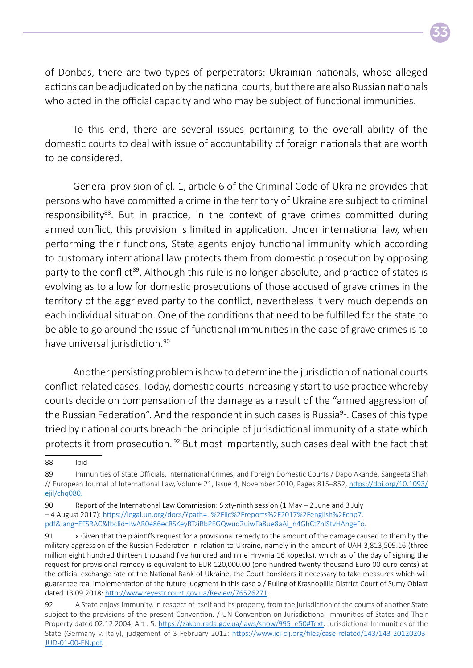

of Donbas, there are two types of perpetrators: Ukrainian nationals, whose alleged actions can be adjudicated on by the national courts, but there are also Russian nationals who acted in the official capacity and who may be subject of functional immunities.

To this end, there are several issues pertaining to the overall ability of the domestic courts to deal with issue of accountability of foreign nationals that are worth to be considered.

General provision of cl. 1, article 6 of the Criminal Code of Ukraine provides that persons who have committed a crime in the territory of Ukraine are subject to criminal responsibility<sup>88</sup>. But in practice, in the context of grave crimes committed during armed conflict, this provision is limited in application. Under international law, when performing their functions, State agents enjoy functional immunity which according to customary international law protects them from domestic prosecution by opposing party to the conflict<sup>89</sup>. Although this rule is no longer absolute, and practice of states is evolving as to allow for domestic prosecutions of those accused of grave crimes in the territory of the aggrieved party to the conflict, nevertheless it very much depends on each individual situation. One of the conditions that need to be fulfilled for the state to be able to go around the issue of functional immunities in the case of grave crimes is to have universal jurisdiction.<sup>90</sup>

Another persisting problem is how to determine the jurisdiction of national courts conflict -related cases. Today, domestic courts increasingly start to use practice whereby courts decide on compensation of the damage as a result of the "armed aggression of the Russian Federation". And the respondent in such cases is Russia<sup>91</sup>. Cases of this type tried by national courts breach the principle of jurisdictional immunity of a state which protects it from prosecution. 92 But most importantly, such cases deal with the fact that

<sup>88</sup> Ibid

<sup>89</sup> Immunities of State Officials, International Crimes, and Foreign Domestic Courts / Dapo Akande, Sangeeta Shah // European Journal of International Law, Volume 21, Issue 4, November 2010, Pages 815–852, [https://doi.org/10.1093/](https://doi.org/10.1093/ejil/chq080) [ejil/chq080.](https://doi.org/10.1093/ejil/chq080)

<sup>90</sup> Report of the International Law Commission: Sixty-ninth session (1 May – 2 June and 3 July – 4 August 2017): [https://legal.un.org/docs/?path=..%2Filc%2Freports%2F2017%2Fenglish%2Fchp7.](https://legal.un.org/docs/?path=..%2Filc%2Freports%2F2017%2Fenglish%2Fchp7.pdf&lang=EFSRAC&fbclid=IwAR0e86ecRSKeyBTziRbPEGQwud2uiwFa8ue8aAi_n4GhCtZnlStvHAhgeFo) [pdf&lang=EFSRAC&fbclid=IwAR0e86ecRSKeyBTziRbPEGQwud2uiwFa8ue8aAi\\_n4GhCtZnlStvHAhgeFo](https://legal.un.org/docs/?path=..%2Filc%2Freports%2F2017%2Fenglish%2Fchp7.pdf&lang=EFSRAC&fbclid=IwAR0e86ecRSKeyBTziRbPEGQwud2uiwFa8ue8aAi_n4GhCtZnlStvHAhgeFo).

<sup>91 «</sup> Given that the plaintiffs request for a provisional remedy to the amount of the damage caused to them by the military aggression of the Russian Federation in relation to Ukraine, namely in the amount of UAH 3,813,509.16 (three million eight hundred thirteen thousand five hundred and nine Hryvnia 16 kopecks), which as of the day of signing the request for provisional remedy is equivalent to EUR 120,000.00 (one hundred twenty thousand Euro 00 euro cents) at the official exchange rate of the National Bank of Ukraine, the Court considers it necessary to take measures which will guarantee real implementation of the future judgment in this case » / Ruling of Krasnopillia District Court of Sumy Oblast dated 13.09.2018: [http://www.reyestr.court.gov.ua/Review/76526271.](http://www.reyestr.court.gov.ua/Review/76526271)

<sup>92</sup> A State enjoys immunity, in respect of itself and its property, from the jurisdiction of the courts of another State subject to the provisions of the present Convention. / UN Convention on Jurisdictional Immunities of States and Their Property dated 02.12.2004, Art . 5: [https://zakon.rada.gov.ua/laws/show/995\\_e50#Text](https://zakon.rada.gov.ua/laws/show/995_e50#Text). Jurisdictional Immunities of the State (Germany v. Italy), judgement of 3 February 2012: [https://www.icj-cij.org/files/case-related/143/143-20120203-](https://www.icj-cij.org/files/case-related/143/143-20120203-JUD-01-00-EN.pdf) [JUD-01-00-EN.pdf](https://www.icj-cij.org/files/case-related/143/143-20120203-JUD-01-00-EN.pdf).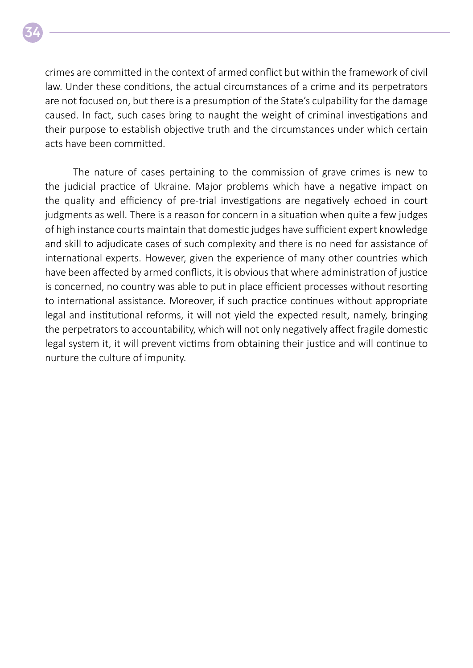crimes are committed in the context of armed conflict but within the framework of civil law. Under these conditions, the actual circumstances of a crime and its perpetrators are not focused on, but there is a presumption of the State's culpability for the damage caused. In fact, such cases bring to naught the weight of criminal investigations and their purpose to establish objective truth and the circumstances under which certain acts have been committed.

The nature of cases pertaining to the commission of grave crimes is new to the judicial practice of Ukraine. Major problems which have a negative impact on the quality and efficiency of pre-trial investigations are negatively echoed in court judgments as well. There is a reason for concern in a situation when quite a few judges of high instance courts maintain that domestic judges have sufficient expert knowledge and skill to adjudicate cases of such complexity and there is no need for assistance of international experts. However, given the experience of many other countries which have been affected by armed conflicts, it is obvious that where administration of justice is concerned, no country was able to put in place efficient processes without resorting to international assistance. Moreover, if such practice continues without appropriate legal and institutional reforms, it will not yield the expected result, namely, bringing the perpetrators to accountability, which will not only negatively affect fragile domestic legal system it, it will prevent victims from obtaining their justice and will continue to nurture the culture of impunity.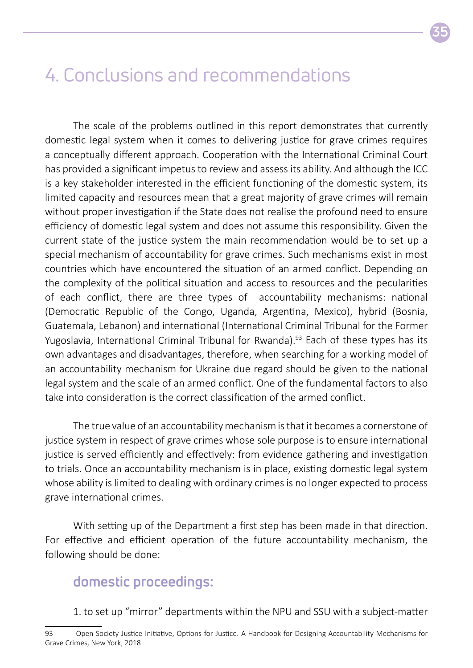### 4. Conclusions and recommendations

The scale of the problems outlined in this report demonstrates that currently domestic legal system when it comes to delivering justice for grave crimes requires a conceptually different approach. Cooperation with the International Criminal Court has provided a significant impetus to review and assess its ability. And although the ICC is a key stakeholder interested in the efficient functioning of the domestic system, its limited capacity and resources mean that a great majority of grave crimes will remain without proper investigation if the State does not realise the profound need to ensure efficiency of domestic legal system and does not assume this responsibility. Given the current state of the justice system the main recommendation would be to set up a special mechanism of accountability for grave crimes. Such mechanisms exist in most countries which have encountered the situation of an armed conflict. Depending on the complexity of the political situation and access to resources and the pecularities of each conflict, there are three types of accountability mechanisms: national (Democratic Republic of the Congo, Uganda, Argentina, Mexico), hybrid (Bosnia, Guatemala, Lebanon) and international (International Criminal Tribunal for the Former Yugoslavia, International Criminal Tribunal for Rwanda).<sup>93</sup> Each of these types has its own advantages and disadvantages, therefore, when searching for a working model of an accountability mechanism for Ukraine due regard should be given to the national legal system and the scale of an armed conflict. One of the fundamental factors to also take into consideration is the correct classification of the armed conflict.

The true value of an accountability mechanism is that it becomes a cornerstone of justice system in respect of grave crimes whose sole purpose is to ensure international justice is served efficiently and effectively: from evidence gathering and investigation to trials. Once an accountability mechanism is in place, existing domestic legal system whose ability is limited to dealing with ordinary crimes is no longer expected to process grave international crimes.

With setting up of the Department a first step has been made in that direction. For effective and efficient operation of the future accountability mechanism, the following should be done:

#### **domestic proceedings:**

1. to set up "mirror" departments within the NPU and SSU with a subject-matter

<sup>93</sup> Open Society Justice Initiative, Options for Justice. A Handbook for Designing Accountability Mechanisms for Grave Crimes, New York, 2018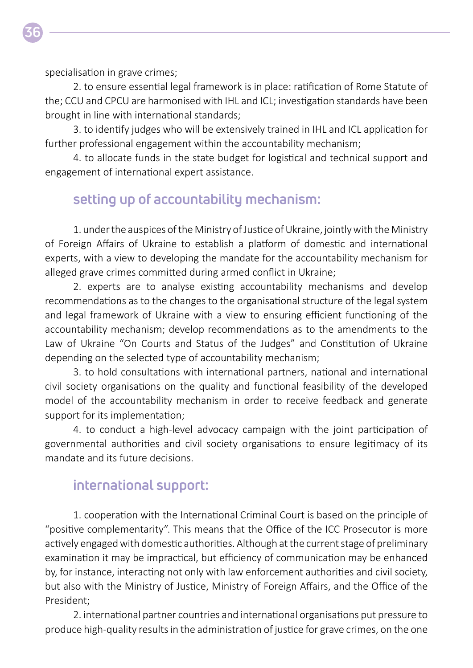specialisation in grave crimes;

**36**

2. to ensure essential legal framework is in place: ratification of Rome Statute of the; CCU and CPCU are harmonised with IHL and ICL; investigation standards have been brought in line with international standards;

3. to identify judges who will be extensively trained in IHL and ICL application for further professional engagement within the accountability mechanism;

4. to allocate funds in the state budget for logistical and technical support and engagement of international expert assistance.

#### **setting up of accountability mechanism:**

1. under the auspices of the Ministry of Justice of Ukraine, jointly with the Ministry of Foreign Affairs of Ukraine to establish a platform of domestic and international experts, with a view to developing the mandate for the accountability mechanism for alleged grave crimes committed during armed conflict in Ukraine;

2. experts are to analyse existing accountability mechanisms and develop recommendations as to the changes to the organisational structure of the legal system and legal framework of Ukraine with a view to ensuring efficient functioning of the accountability mechanism; develop recommendations as to the amendments to the Law of Ukraine "On Courts and Status of the Judges" and Constitution of Ukraine depending on the selected type of accountability mechanism;

3. to hold consultations with international partners, national and international civil society organisations on the quality and functional feasibility of the developed model of the accountability mechanism in order to receive feedback and generate support for its implementation;

4. to conduct a high-level advocacy campaign with the joint participation of governmental authorities and civil society organisations to ensure legitimacy of its mandate and its future decisions.

#### **international support:**

1. cooperation with the International Criminal Court is based on the principle of "positive complementarity". This means that the Office of the ICC Prosecutor is more actively engaged with domestic authorities. Although at the current stage of preliminary examination it may be impractical, but efficiency of communication may be enhanced by, for instance, interacting not only with law enforcement authorities and civil society, but also with the Ministry of Justice, Ministry of Foreign Affairs, and the Office of the President;

2. international partner countries and international organisations put pressure to produce high-quality results in the administration of justice for grave crimes, on the one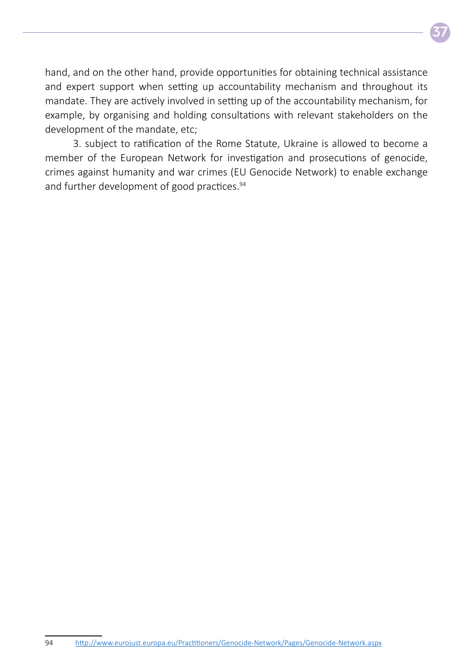

hand, and on the other hand, provide opportunities for obtaining technical assistance and expert support when setting up accountability mechanism and throughout its mandate. They are actively involved in setting up of the accountability mechanism, for example, by organising and holding consultations with relevant stakeholders on the development of the mandate, etc;

3. subject to ratification of the Rome Statute, Ukraine is allowed to become a member of the European Network for investigation and prosecutions of genocide, crimes against humanity and war crimes (EU Genocide Network) to enable exchange and further development of good practices.<sup>94</sup>